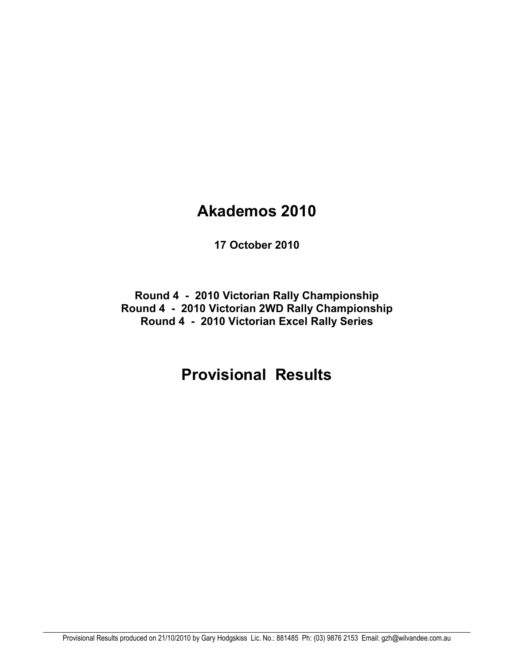# **Akademos 2010**

**17 October 2010** 

**Round 4 - 2010 Victorian Rally Championship Round 4 - 2010 Victorian 2WD Rally Championship Round 4 - 2010 Victorian Excel Rally Series** 

# **Provisional Results**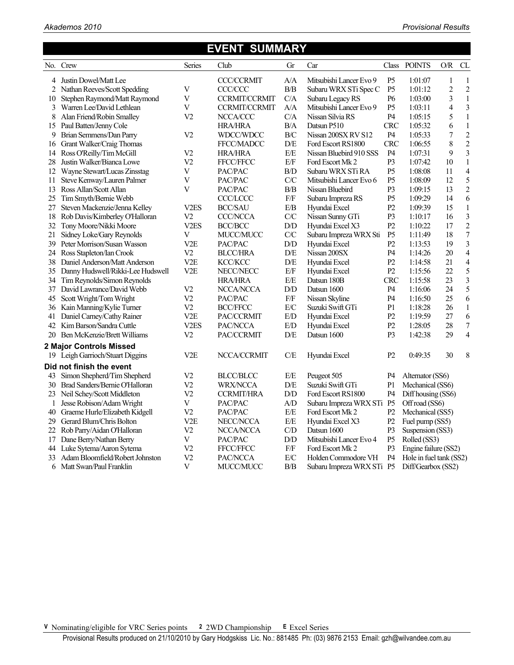## **EVENT SUMMARY**

|    | No. Crew                             | Series                    | Club                 | Gr                         | Car                       | Class          | <b>POINTS</b>           | $\mathcal{O}/\mathcal{R}$ | CL               |
|----|--------------------------------------|---------------------------|----------------------|----------------------------|---------------------------|----------------|-------------------------|---------------------------|------------------|
|    | 4 Justin Dowel/Matt Lee              |                           | <b>CCC/CCRMIT</b>    | A/A                        | Mitsubishi Lancer Evo 9   | P <sub>5</sub> | 1:01:07                 | 1                         | $\mathbf{1}$     |
| 2  | Nathan Reeves/Scott Spedding         | V                         | CCC/CCC              | $\rm B/B$                  | Subaru WRX STi Spec C     | P <sub>5</sub> | 1:01:12                 | $\overline{c}$            | $\overline{c}$   |
| 10 | Stephen Raymond/Matt Raymond         | $\mathbf V$               | <b>CCRMIT/CCRMIT</b> | C/A                        | Subaru Legacy RS          | <b>P6</b>      | 1:03:00                 | $\overline{\mathbf{3}}$   | $\mathbf{1}$     |
| 3  | Warren Lee/David Lethlean            | V                         | <b>CCRMIT/CCRMIT</b> | A/A                        | Mitsubishi Lancer Evo 9   | P <sub>5</sub> | 1:03:11                 | $\overline{\mathbf{4}}$   | $\mathfrak{Z}$   |
| 8  | Alan Friend/Robin Smalley            | V <sub>2</sub>            | NCCA/CCC             | C/A                        | Nissan Silvia RS          | P4             | 1:05:15                 | 5                         | $\,1\,$          |
|    | 15 Paul Batten/Jenny Cole            |                           | <b>HRA/HRA</b>       | $\rm B/A$                  | Datsun P510               | <b>CRC</b>     | 1:05:32                 | 6                         | $\,1\,$          |
| 9  | Brian Semmens/Dan Parry              | V <sub>2</sub>            | WDCC/WDCC            | B/C                        | Nissan 200SX RV S12       | P <sub>4</sub> | 1:05:33                 | $\boldsymbol{7}$          | $\overline{c}$   |
| 16 | Grant Walker/Craig Thomas            |                           | FFCC/MADCC           | D/E                        | Ford Escort RS1800        | <b>CRC</b>     | 1:06:55                 | 8                         | $\overline{c}$   |
| 14 | Ross O'Reilly/Tim McGill             | V <sub>2</sub>            | <b>HRA/HRA</b>       | $\rm E/E$                  | Nissan Bluebird 910 SSS   | P4             | 1:07:31                 | 9                         | 3                |
| 28 | Justin Walker/Bianca Lowe            | V <sub>2</sub>            | FFCC/FFCC            | $\rm E/F$                  | Ford Escort Mk 2          | P3             | 1:07:42                 | 10                        | $\,1\,$          |
| 12 | Wayne Stewart/Lucas Zinsstag         | $\overline{V}$            | PAC/PAC              | $\rm B/D$                  | Subaru WRX STi RA         | P <sub>5</sub> | 1:08:08                 | 11                        | $\overline{4}$   |
| 11 | Steve Kenway/Lauren Palmer           | V                         | PAC/PAC              | C/C                        | Mitsubishi Lancer Evo 6   | P <sub>5</sub> | 1:08:09                 | 12                        | 5                |
| 13 | Ross Allan/Scott Allan               | V                         | PAC/PAC              | B/B                        | Nissan Bluebird           | P <sub>3</sub> | 1:09:15                 | 13                        | $\overline{2}$   |
| 25 | Tim Smyth/Bernie Webb                |                           | <b>CCC/LCCC</b>      | $\rm{F/F}$                 | Subaru Impreza RS         | P <sub>5</sub> | 1:09:29                 | 14                        | 6                |
| 27 | Steven Mackenzie/Jenna Kelley        | V <sub>2</sub> ES         | <b>BCC/SAU</b>       | E/B                        | Hyundai Excel             | P <sub>2</sub> | 1:09:39                 | 15                        | $\mathbf{1}$     |
| 18 | Rob Davis/Kimberley O'Halloran       | V <sub>2</sub>            | <b>CCC/NCCA</b>      | ${\rm C\hspace{-0.3ex}/}C$ | Nissan Sunny GTi          | P <sub>3</sub> | 1:10:17                 | 16                        | 3                |
| 32 | Tony Moore/Nikki Moore               | V <sub>2</sub> ES         | <b>BCC/BCC</b>       | ${\rm D/D}$                | Hyundai Excel X3          | P <sub>2</sub> | 1:10:22                 | 17                        | $\overline{c}$   |
| 21 | Sidney Loke/Gary Reynolds            | $\ensuremath{\mathbf{V}}$ | MUCC/MUCC            | ${\rm C\hspace{-0.3ex}}/C$ | Subaru Impreza WRX Sti    | P <sub>5</sub> | 1:11:49                 | 18                        | $\boldsymbol{7}$ |
| 39 | Peter Morrison/Susan Wasson          | V <sub>2</sub> E          | PAC/PAC              | D/D                        | Hyundai Excel             | P2             | 1:13:53                 | 19                        | $\overline{3}$   |
|    | 24 Ross Stapleton/Ian Crook          | V <sub>2</sub>            | <b>BLCC/HRA</b>      | D/E                        | Nissan 200SX              | P4             | 1:14:26                 | 20                        | $\overline{4}$   |
| 38 | Daniel Anderson/Matt Anderson        | V <sub>2</sub> E          | <b>KCC/KCC</b>       | D/E                        | Hyundai Excel             | P2             | 1:14:58                 | 21                        | 4                |
|    | 35 Danny Hudswell/Rikki-Lee Hudswell | V <sub>2</sub> E          | NECC/NECC            | $\rm E/F$                  | Hyundai Excel             | P2             | 1:15:56                 | 22                        | 5                |
|    | 34 Tim Reynolds/Simon Reynolds       |                           | <b>HRA/HRA</b>       | E/E                        | Datsun 180B               | <b>CRC</b>     | 1:15:58                 | 23                        | 3                |
|    | 37 David Lawrance/David Webb         | V <sub>2</sub>            | NCCA/NCCA            | ${\rm D/D}$                | Datsun 1600               | P <sub>4</sub> | 1:16:06                 | 24                        | 5                |
| 45 | Scott Wright/Tom Wright              | V <sub>2</sub>            | PAC/PAC              | $\rm{F/F}$                 | Nissan Skyline            | P4             | 1:16:50                 | 25                        | 6                |
|    | 36 Kain Manning/Kylie Turner         | V <sub>2</sub>            | <b>BCC/FFCC</b>      | $\rm E/C$                  | Suzuki Swift GTi          | P1             | 1:18:28                 | 26                        | $\mathbf{1}$     |
| 41 | Daniel Carney/Cathy Rainer           | V <sub>2</sub> E          | PAC/CCRMIT           | $\rm E/D$                  | Hyundai Excel             | P <sub>2</sub> | 1:19:59                 | 27                        | 6                |
| 42 | Kim Barson/Sandra Cuttle             | V <sub>2</sub> ES         | PAC/NCCA             | E/D                        | Hyundai Excel             | P2             | 1:28:05                 | 28                        | $\boldsymbol{7}$ |
| 20 | Ben McKenzie/Brett Williams          | V2                        | PAC/CCRMIT           | D/E                        | Datsun 1600               | P <sub>3</sub> | 1:42:38                 | 29                        | $\overline{4}$   |
|    | 2 Major Controls Missed              |                           |                      |                            |                           |                |                         |                           |                  |
| 19 | Leigh Garrioch/Stuart Diggins        | V <sub>2</sub> E          | NCCA/CCRMIT          | C/E                        | Hyundai Excel             | P <sub>2</sub> | 0:49:35                 | 30                        | 8                |
|    | Did not finish the event             |                           |                      |                            |                           |                |                         |                           |                  |
| 43 | Simon Shepherd/Tim Shepherd          | V <sub>2</sub>            | <b>BLCC/BLCC</b>     | E/E                        | Peugeot 505               | P4             | Alternator (SS6)        |                           |                  |
|    | 30 Brad Sanders/Bernie O'Halloran    | V <sub>2</sub>            | <b>WRX/NCCA</b>      | $\mathbf{D}/\mathbf{E}$    | Suzuki Swift GTi          | P <sub>1</sub> | Mechanical (SS6)        |                           |                  |
|    | 23 Neil Schey/Scott Middleton        | V <sub>2</sub>            | <b>CCRMIT/HRA</b>    | ${\rm D/D}$                | Ford Escort RS1800        | P4             | Diff housing (SS6)      |                           |                  |
| 1  | Jesse Robison/Adam Wright            | V                         | PAC/PAC              | A/D                        | Subaru Impreza WRX STi P5 |                | Off road (SS6)          |                           |                  |
| 40 | Graeme Hurle/Elizabeth Kidgell       | V <sub>2</sub>            | PAC/PAC              | E/E                        | Ford Escort Mk 2          | P <sub>2</sub> | Mechanical (SS5)        |                           |                  |
| 29 | Gerard Blum/Chris Bolton             | V <sub>2</sub> E          | NECC/NCCA            | $\rm E/E$                  | Hyundai Excel X3          | P2             | Fuel pump (SS5)         |                           |                  |
| 22 | Rob Parry/Aidan O'Halloran           | V <sub>2</sub>            | NCCA/NCCA            | C/D                        | Datsun 1600               | P <sub>3</sub> | Suspension (SS3)        |                           |                  |
| 17 | Dane Berry/Nathan Berry              | V                         | PAC/PAC              | ${\rm D/D}$                | Mitsubishi Lancer Evo 4   | P <sub>5</sub> | Rolled (SS3)            |                           |                  |
| 44 | Luke Sytema/Aaron Sytema             | V <sub>2</sub>            | FFCC/FFCC            | $\rm{F/F}$                 | Ford Escort Mk 2          | P <sub>3</sub> | Engine failure (SS2)    |                           |                  |
|    | 33 Adam Bloomfield/Robert Johnston   | V <sub>2</sub>            | PAC/NCCA             | $\rm E/C$                  | Holden Commodore VH       | P <sub>4</sub> | Hole in fuel tank (SS2) |                           |                  |
| 6  | Matt Swan/Paul Franklin              | V                         | MUCC/MUCC            | B/B                        | Subaru Impreza WRX STi    | P <sub>5</sub> | Diff/Gearbox (SS2)      |                           |                  |

**V** Nominating/eligible for VRC Series points **2** 2WD Championship **E** Excel Series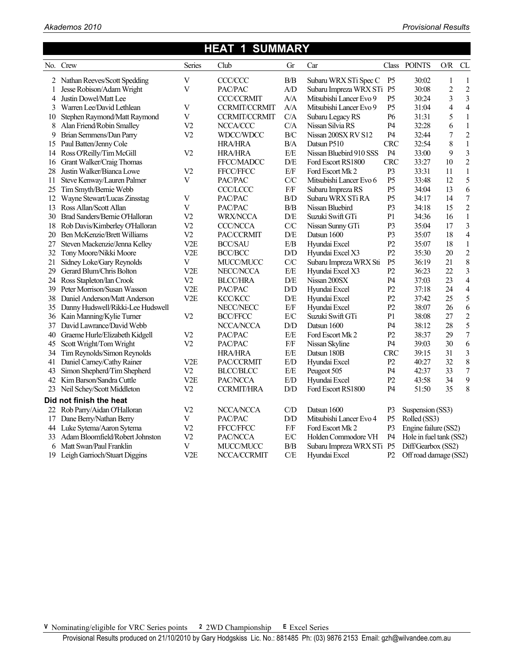#### **HEAT 1 SUMMARY**  No. Crew Series Club Gr Car Class POINTS O/R CL 2 Nathan Reeves/Scott Spedding V CCC/CCC B/B Subaru WRX STi Spec C P5 30:02 1 1 1 Jesse Robison/Adam Wright V PAC/PAC A/D Subaru Impreza WRX STi P5 30:08 2 2 4 Justin Dowel/Matt Lee CCC/CCRMIT A/A Mitsubishi Lancer Evo 9 P5 30:24 3 3<br>3 Warren Lee/David Lethlean V CCRMIT/CCRMIT A/A Mitsubishi Lancer Evo 9 P5 31:04 4 4 3 Warren Lee/David Lethlean V CCRMIT/CCRMIT A/A Mitsubishi Lancer Evo 9 P5 31:04 4 4 10 Stephen Raymond/Matt Raymond V CCRMIT/CCRMIT C/A Subaru Legacy RS P6 31:31 5 1 8 Alan Friend/Robin Smalley V2 NCCA/CCC C/A Nissan Silvia RS P4 32:28 6 1 9 Brian Semmens/Dan Parry V2 WDCC/WDCC B/C Nissan 200SX RV S12 P4 32:44 7 2 15 Paul Batten/Jenny Cole HRA/HRA B/A Datsun P510 CRC 32:54 8 1 14 Ross O'Reilly/Tim McGill V2 HRA/HRA E/E Nissan Bluebird 910 SSS P4 33:00 9 3 16 Grant Walker/Craig Thomas FFCC/MADCC D/E Ford Escort RS1800 CRC 33:27 10 2 28 Justin Walker/Bianca Lowe V2 FFCC/FFCC E/F Ford Escort Mk 2 P3 33:31 11 1 11 Steve Kenway/Lauren Palmer V PAC/PAC C/C Mitsubishi Lancer Evo 6 P5 33:48 12 5 25 Tim Smyth/Bernie Webb CCC/LCCC F/F Subaru Impreza RS P5 34:04 13 6<br>12 Wavne Stewart/Lucas Zinsstag V PAC/PAC B/D Subaru WRX STi RA P5 34:17 14 7 12 Wayne Stewart/Lucas Zinsstag V PAC/PAC B/D Subaru WRX STi RA P5 34:17 13 Ross Allan/Scott Allan V PAC/PAC B/B Nissan Bluebird P3 34:18 15 2 30 Brad Sanders/Bernie O'Halloran V2 WRX/NCCA D/E Suzuki Swift GTi P1 34:36 16 1 18 Rob Davis/Kimberley O'Halloran V2 CCC/NCCA C/C Nissan Sunny GTi P3 35:04 17 3 20 Ben McKenzie/Brett Williams V2 PAC/CCRMIT D/E Datsun 1600 P3 35:07 18 4 27 Steven Mackenzie/Jenna Kelley V2E BCC/SAU E/B Hyundai Excel P2 35:07 18 1 32 Tony Moore/Nikki Moore V2E BCC/BCC D/D Hyundai Excel X3 P2 35:30 20 2 21 Sidney Loke/Gary Reynolds V MUCC/MUCC C/C Subaru Impreza WRX Sti P5 36:19 21 8 29 Gerard Blum/Chris Bolton V2E NECC/NCCA E/E Hyundai Excel X3 P2 36:23 22 3 24 Ross Stapleton/Ian Crook V2 BLCC/HRA D/E Nissan 200SX P4 37:03 23 4 39 Peter Morrison/Susan Wasson V2E PAC/PAC D/D Hyundai Excel P2 37:18 24 4 38 Daniel Anderson/Matt Anderson V2E KCC/KCC D/E Hyundai Excel P2 37:42 25 5 35 Danny Hudswell/Rikki-Lee Hudswell NECC/NECC E/F Hyundai Excel P2 38:07 26 6 36 Kain Manning/Kylie Turner V2 BCC/FFCC E/C Suzuki Swift GTi P1 38:08 27 2 37 David Lawrance/David Webb NCCA/NCCA D/D Datsun 1600 P4 38:12 28 5 40 Graeme Hurle/Elizabeth Kidgell V2 PAC/PAC E/E Ford Escort Mk 2 P2 38:37 29 7 45 Scott Wright/Tom Wright V2 PAC/PAC F/F Nissan Skyline P4 39:03 30 6 34 Tim Reynolds/Simon Reynolds HRA/HRA E/E Datsun 180B CRC 39:15 31 3 41 Daniel Carney/Cathy Rainer V2E PAC/CCRMIT E/D Hyundai Excel P2 40:27 32 8 43 Simon Shepherd/Tim Shepherd V2 BLCC/BLCC E/E Peugeot 505 P4 42:37 33 7 42 Kim Barson/Sandra Cuttle V2E PAC/NCCA E/D Hyundai Excel P2 43:58 34 9 23 Neil Schey/Scott Middleton V2 CCRMIT/HRA D/D Ford Escort RS1800 P4 51:50 35 8 **Did not finish the heat**  22 Rob Parry/Aidan O'Halloran V2 NCCA/NCCA C/D Datsun 1600 P3 Suspension (SS3) 17 Dane Berry/Nathan Berry V PAC/PAC D/D Mitsubishi Lancer Evo 4 P5 Rolled (SS3) 44 Luke Sytema/Aaron Sytema V2 FFCC/FFCC F/F Ford Escort Mk 2 P3 Engine failure (SS2) 33 Adam Bloomfield/Robert Johnston V2 PAC/NCCA E/C Holden Commodore VH P4 Hole in fuel tank (SS2) 6 Matt Swan/Paul Franklin V MUCC/MUCC B/B Subaru Impreza WRX STi P5 Diff/Gearbox (SS2) 19 Leigh Garrioch/Stuart Diggins V2E NCCA/CCRMIT C/E Hyundai Excel P2 Off road damage (SS2)

**V** Nominating/eligible for VRC Series points **2** 2WD Championship **E** Excel Series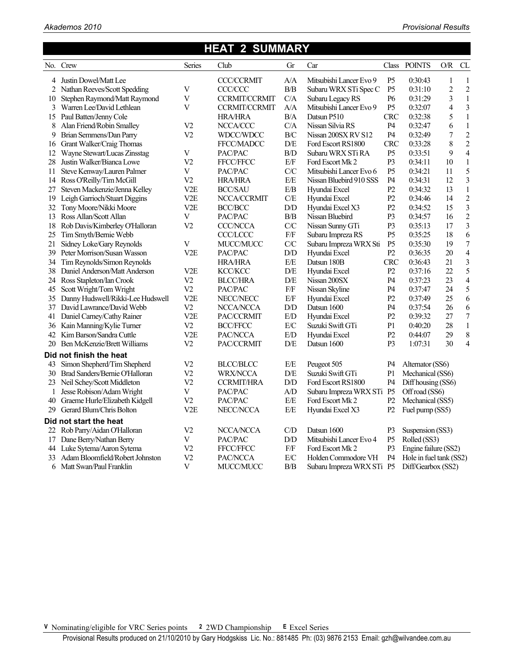## **HEAT 2 SUMMARY**

|    | No. Crew                           | Series           | Club                 | Gr                    | Car                       | Class          | <b>POINTS</b>           | $\mathcal{O}/\mathcal{R}$ | CL                       |
|----|------------------------------------|------------------|----------------------|-----------------------|---------------------------|----------------|-------------------------|---------------------------|--------------------------|
| 4  | Justin Dowel/Matt Lee              |                  | <b>CCC/CCRMIT</b>    | A/A                   | Mitsubishi Lancer Evo 9   | P <sub>5</sub> | 0:30:43                 | $\mathbf{1}$              | $\mathbf{1}$             |
| 2  | Nathan Reeves/Scott Spedding       | $\mathbf V$      | CCC/CCC              | $\rm B/B$             | Subaru WRX STi Spec C     | P <sub>5</sub> | 0:31:10                 | $\overline{c}$            | $\overline{c}$           |
| 10 | Stephen Raymond/Matt Raymond       | $\mathbf V$      | <b>CCRMIT/CCRMIT</b> | C/A                   | Subaru Legacy RS          | P <sub>6</sub> | 0:31:29                 | $\overline{\mathbf{3}}$   | $\mathbf{1}$             |
| 3  | Warren Lee/David Lethlean          | V                | <b>CCRMIT/CCRMIT</b> | A/A                   | Mitsubishi Lancer Evo 9   | P <sub>5</sub> | 0:32:07                 | 4                         | $\mathfrak{Z}$           |
| 15 | Paul Batten/Jenny Cole             |                  | <b>HRA/HRA</b>       | B/A                   | Datsun P510               | <b>CRC</b>     | 0:32:38                 | 5                         | $\mathbf{1}$             |
| 8  | Alan Friend/Robin Smalley          | V <sub>2</sub>   | NCCA/CCC             | C/A                   | Nissan Silvia RS          | P4             | 0:32:47                 | 6                         | $\,1\,$                  |
| 9  | Brian Semmens/Dan Parry            | V <sub>2</sub>   | WDCC/WDCC            | B/C                   | Nissan 200SX RV S12       | P4             | 0:32:49                 | 7                         | $\overline{2}$           |
| 16 | Grant Walker/Craig Thomas          |                  | <b>FFCC/MADCC</b>    | D/E                   | Ford Escort RS1800        | <b>CRC</b>     | 0:33:28                 | 8                         | $\overline{2}$           |
| 12 | Wayne Stewart/Lucas Zinsstag       | V                | PAC/PAC              | $\rm B/D$             | Subaru WRX STi RA         | P <sub>5</sub> | 0:33:51                 | 9                         | $\overline{4}$           |
| 28 | Justin Walker/Bianca Lowe          | V <sub>2</sub>   | <b>FFCC/FFCC</b>     | E/F                   | Ford Escort Mk 2          | P <sub>3</sub> | 0:34:11                 | 10                        | $\mathbf{1}$             |
| 11 | Steve Kenway/Lauren Palmer         | V                | PAC/PAC              | C/C                   | Mitsubishi Lancer Evo 6   | P <sub>5</sub> | 0:34:21                 | 11                        | 5                        |
| 14 | Ross O'Reilly/Tim McGill           | V <sub>2</sub>   | <b>HRA/HRA</b>       | E/E                   | Nissan Bluebird 910 SSS   | P4             | 0:34:31                 | 12                        | $\overline{\mathbf{3}}$  |
| 27 | Steven Mackenzie/Jenna Kelley      | V <sub>2</sub> E | <b>BCC/SAU</b>       | E/B                   | Hyundai Excel             | P <sub>2</sub> | 0:34:32                 | 13                        | $\mathbf{1}$             |
| 19 | Leigh Garrioch/Stuart Diggins      | V <sub>2</sub> E | NCCA/CCRMIT          | C/E                   | Hyundai Excel             | P2             | 0:34:46                 | 14                        | $\overline{c}$           |
| 32 | Tony Moore/Nikki Moore             | V <sub>2</sub> E | <b>BCC/BCC</b>       | ${\rm D/D}$           | Hyundai Excel X3          | P2             | 0:34:52                 | 15                        | 3                        |
| 13 | Ross Allan/Scott Allan             | V                | PAC/PAC              | $\rm B/B$             | Nissan Bluebird           | P <sub>3</sub> | 0:34:57                 | 16                        | $\overline{2}$           |
| 18 | Rob Davis/Kimberley O'Halloran     | V <sub>2</sub>   | <b>CCC/NCCA</b>      | C/C                   | Nissan Sunny GTi          | P <sub>3</sub> | 0:35:13                 | 17                        | 3                        |
| 25 | Tim Smyth/Bernie Webb              |                  | <b>CCC/LCCC</b>      | $\rm{F/F}$            | Subaru Impreza RS         | P <sub>5</sub> | 0:35:25                 | 18                        | 6                        |
| 21 | Sidney Loke/Gary Reynolds          | V                | MUCC/MUCC            | C/C                   | Subaru Impreza WRX Sti    | P <sub>5</sub> | 0:35:30                 | 19                        | $\overline{7}$           |
| 39 | Peter Morrison/Susan Wasson        | V <sub>2</sub> E | PAC/PAC              | D/D                   | Hyundai Excel             | P2             | 0:36:35                 | 20                        | $\overline{\mathcal{L}}$ |
| 34 | Tim Reynolds/Simon Reynolds        |                  | <b>HRA/HRA</b>       | E/E                   | Datsun 180B               | <b>CRC</b>     | 0:36:43                 | 21                        | $\mathfrak{Z}$           |
| 38 | Daniel Anderson/Matt Anderson      | V2E              | <b>KCC/KCC</b>       | D/E                   | Hyundai Excel             | P <sub>2</sub> | 0:37:16                 | 22                        | 5                        |
|    | 24 Ross Stapleton/Ian Crook        | V <sub>2</sub>   | <b>BLCC/HRA</b>      | D/E                   | Nissan 200SX              | P4             | 0:37:23                 | 23                        | $\overline{\mathbf{4}}$  |
| 45 | Scott Wright/Tom Wright            | V <sub>2</sub>   | PAC/PAC              | $\rm{F/F}$            | Nissan Skyline            | P4             | 0:37:47                 | 24                        | 5                        |
| 35 | Danny Hudswell/Rikki-Lee Hudswell  | V2E              | NECC/NECC            | $\rm E/F$             | Hyundai Excel             | P2             | 0:37:49                 | 25                        | 6                        |
|    | 37 David Lawrance/David Webb       | V <sub>2</sub>   | NCCA/NCCA            | ${\rm D/D}$           | Datsun 1600               | P <sub>4</sub> | 0:37:54                 | 26                        | 6                        |
| 41 | Daniel Carney/Cathy Rainer         | V2E              | PAC/CCRMIT           | E/D                   | Hyundai Excel             | P <sub>2</sub> | 0:39:32                 | 27                        | $\overline{7}$           |
|    | 36 Kain Manning/Kylie Turner       | V <sub>2</sub>   | <b>BCC/FFCC</b>      | E/C                   | Suzuki Swift GTi          | P1             | 0:40:20                 | 28                        | $\mathbf{1}$             |
| 42 | Kim Barson/Sandra Cuttle           | V <sub>2</sub> E | PAC/NCCA             | E/D                   | Hyundai Excel             | P2             | 0:44:07                 | 29                        | 8                        |
| 20 | Ben McKenzie/Brett Williams        | V <sub>2</sub>   | PAC/CCRMIT           | D/E                   | Datsun 1600               | P <sub>3</sub> | 1:07:31                 | 30                        | $\overline{\mathcal{L}}$ |
|    | Did not finish the heat            |                  |                      |                       |                           |                |                         |                           |                          |
| 43 | Simon Shepherd/Tim Shepherd        | V <sub>2</sub>   | <b>BLCC/BLCC</b>     | $\rm E/E$             | Peugeot 505               | P4             | Alternator (SS6)        |                           |                          |
| 30 | Brad Sanders/Bernie O'Halloran     | V <sub>2</sub>   | <b>WRX/NCCA</b>      | D/E                   | Suzuki Swift GTi          | P <sub>1</sub> | Mechanical (SS6)        |                           |                          |
| 23 | Neil Schey/Scott Middleton         | V <sub>2</sub>   | <b>CCRMIT/HRA</b>    | ${\rm D}\!/\!{\rm D}$ | Ford Escort RS1800        | P4             | Diff housing (SS6)      |                           |                          |
| 1  | Jesse Robison/Adam Wright          | $\mathbf V$      | PAC/PAC              | A/D                   | Subaru Impreza WRX STi P5 |                | Off road (SS6)          |                           |                          |
| 40 | Graeme Hurle/Elizabeth Kidgell     | V <sub>2</sub>   | PAC/PAC              | $\rm E/E$             | Ford Escort Mk 2          | P2             | Mechanical (SS5)        |                           |                          |
| 29 | Gerard Blum/Chris Bolton           | V <sub>2</sub> E | NECC/NCCA            | E/E                   | Hyundai Excel X3          | P2             | Fuel pump (SS5)         |                           |                          |
|    | Did not start the heat             |                  |                      |                       |                           |                |                         |                           |                          |
| 22 | Rob Parry/Aidan O'Halloran         | V <sub>2</sub>   | NCCA/NCCA            | C/D                   | Datsun 1600               | P <sub>3</sub> | Suspension (SS3)        |                           |                          |
| 17 | Dane Berry/Nathan Berry            | V                | PAC/PAC              | ${\rm D/D}$           | Mitsubishi Lancer Evo 4   | P <sub>5</sub> | Rolled (SS3)            |                           |                          |
| 44 | Luke Sytema/Aaron Sytema           | V <sub>2</sub>   | FFCC/FFCC            | $\rm{F/F}$            | Ford Escort Mk 2          | P <sub>3</sub> | Engine failure (SS2)    |                           |                          |
|    | 33 Adam Bloomfield/Robert Johnston | V <sub>2</sub>   | PAC/NCCA             | E/C                   | Holden Commodore VH       | P <sub>4</sub> | Hole in fuel tank (SS2) |                           |                          |
| 6  | Matt Swan/Paul Franklin            | V                | MUCC/MUCC            | B/B                   | Subaru Impreza WRX STi    | P <sub>5</sub> | Diff/Gearbox (SS2)      |                           |                          |

**V** Nominating/eligible for VRC Series points **2** 2WD Championship **E** Excel Series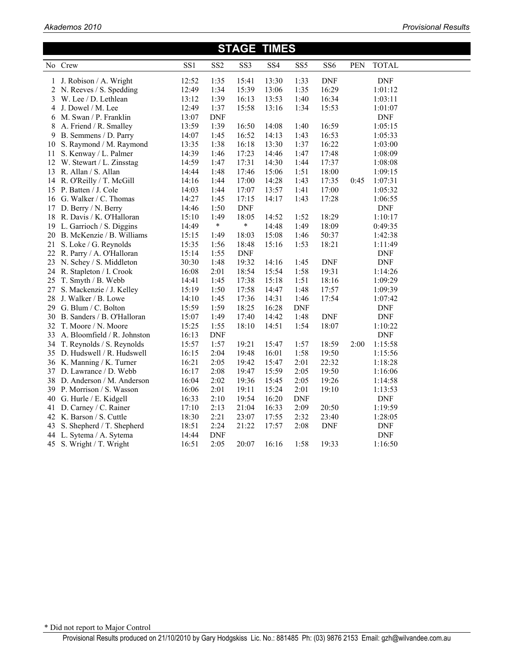| <b>STAGE TIMES</b> |                              |       |                 |            |                 |                 |                 |      |                             |  |  |
|--------------------|------------------------------|-------|-----------------|------------|-----------------|-----------------|-----------------|------|-----------------------------|--|--|
|                    | No Crew                      | SS1   | SS <sub>2</sub> | SS3        | SS <sub>4</sub> | SS <sub>5</sub> | SS <sub>6</sub> | PEN  | <b>TOTAL</b>                |  |  |
| 1                  | J. Robison / A. Wright       | 12:52 | 1:35            | 15:41      | 13:30           | 1:33            | <b>DNF</b>      |      | <b>DNF</b>                  |  |  |
|                    | 2 N. Reeves / S. Spedding    | 12:49 | 1:34            | 15:39      | 13:06           | 1:35            | 16:29           |      | 1:01:12                     |  |  |
| 3                  | W. Lee / D. Lethlean         | 13:12 | 1:39            | 16:13      | 13:53           | 1:40            | 16:34           |      | 1:03:11                     |  |  |
| 4                  | J. Dowel / M. Lee            | 12:49 | 1:37            | 15:58      | 13:16           | 1:34            | 15:53           |      | 1:01:07                     |  |  |
| 6                  | M. Swan / P. Franklin        | 13:07 | <b>DNF</b>      |            |                 |                 |                 |      | <b>DNF</b>                  |  |  |
| 8                  | A. Friend / R. Smalley       | 13:59 | 1:39            | 16:50      | 14:08           | 1:40            | 16:59           |      | 1:05:15                     |  |  |
| 9                  | B. Semmens / D. Parry        | 14:07 | 1:45            | 16:52      | 14:13           | 1:43            | 16:53           |      | 1:05:33                     |  |  |
| 10                 | S. Raymond / M. Raymond      | 13:35 | 1:38            | 16:18      | 13:30           | 1:37            | 16:22           |      | 1:03:00                     |  |  |
| 11                 | S. Kenway / L. Palmer        | 14:39 | 1:46            | 17:23      | 14:46           | 1:47            | 17:48           |      | 1:08:09                     |  |  |
| 12                 | W. Stewart / L. Zinsstag     | 14:59 | 1:47            | 17:31      | 14:30           | 1:44            | 17:37           |      | 1:08:08                     |  |  |
| 13                 | R. Allan / S. Allan          | 14:44 | 1:48            | 17:46      | 15:06           | 1:51            | 18:00           |      | 1:09:15                     |  |  |
| 14                 | R. O'Reilly / T. McGill      | 14:16 | 1:44            | 17:00      | 14:28           | 1:43            | 17:35           | 0:45 | 1:07:31                     |  |  |
| 15                 | P. Batten / J. Cole          | 14:03 | 1:44            | 17:07      | 13:57           | 1:41            | 17:00           |      | 1:05:32                     |  |  |
| 16                 | G. Walker / C. Thomas        | 14:27 | 1:45            | 17:15      | 14:17           | 1:43            | 17:28           |      | 1:06:55                     |  |  |
| 17                 | D. Berry / N. Berry          | 14:46 | 1:50            | <b>DNF</b> |                 |                 |                 |      | <b>DNF</b>                  |  |  |
| 18                 | R. Davis / K. O'Halloran     | 15:10 | 1:49            | 18:05      | 14:52           | 1:52            | 18:29           |      | 1:10:17                     |  |  |
| 19                 | L. Garrioch / S. Diggins     | 14:49 | $\ast$          | $\ast$     | 14:48           | 1:49            | 18:09           |      | 0:49:35                     |  |  |
| 20                 | B. McKenzie / B. Williams    | 15:15 | 1:49            | 18:03      | 15:08           | 1:46            | 50:37           |      | 1:42:38                     |  |  |
| 21                 | S. Loke / G. Reynolds        | 15:35 | 1:56            | 18:48      | 15:16           | 1:53            | 18:21           |      | 1:11:49                     |  |  |
| 22                 | R. Parry / A. O'Halloran     | 15:14 | 1:55            | <b>DNF</b> |                 |                 |                 |      | <b>DNF</b>                  |  |  |
| 23                 | N. Schey / S. Middleton      | 30:30 | 1:48            | 19:32      | 14:16           | 1:45            | <b>DNF</b>      |      | $\ensuremath{\mathrm{DNF}}$ |  |  |
| 24                 | R. Stapleton / I. Crook      | 16:08 | 2:01            | 18:54      | 15:54           | 1:58            | 19:31           |      | 1:14:26                     |  |  |
|                    | 25 T. Smyth / B. Webb        | 14:41 | 1:45            | 17:38      | 15:18           | 1:51            | 18:16           |      | 1:09:29                     |  |  |
| 27                 | S. Mackenzie / J. Kelley     | 15:19 | 1:50            | 17:58      | 14:47           | 1:48            | 17:57           |      | 1:09:39                     |  |  |
| 28                 | J. Walker / B. Lowe          | 14:10 | 1:45            | 17:36      | 14:31           | 1:46            | 17:54           |      | 1:07:42                     |  |  |
| 29                 | G. Blum / C. Bolton          | 15:59 | 1:59            | 18:25      | 16:28           | <b>DNF</b>      |                 |      | <b>DNF</b>                  |  |  |
| 30                 | B. Sanders / B. O'Halloran   | 15:07 | 1:49            | 17:40      | 14:42           | 1:48            | <b>DNF</b>      |      | <b>DNF</b>                  |  |  |
| 32                 | T. Moore / N. Moore          | 15:25 | 1:55            | 18:10      | 14:51           | 1:54            | 18:07           |      | 1:10:22                     |  |  |
| 33                 | A. Bloomfield / R. Johnston  | 16:13 | <b>DNF</b>      |            |                 |                 |                 |      | <b>DNF</b>                  |  |  |
|                    | 34 T. Reynolds / S. Reynolds | 15:57 | 1:57            | 19:21      | 15:47           | 1:57            | 18:59           | 2:00 | 1:15:58                     |  |  |
| 35                 | D. Hudswell / R. Hudswell    | 16:15 | 2:04            | 19:48      | 16:01           | 1:58            | 19:50           |      | 1:15:56                     |  |  |
|                    | 36 K. Manning / K. Turner    | 16:21 | 2:05            | 19:42      | 15:47           | 2:01            | 22:32           |      | 1:18:28                     |  |  |
| 37                 | D. Lawrance / D. Webb        | 16:17 | 2:08            | 19:47      | 15:59           | 2:05            | 19:50           |      | 1:16:06                     |  |  |
|                    | 38 D. Anderson / M. Anderson | 16:04 | 2:02            | 19:36      | 15:45           | 2:05            | 19:26           |      | 1:14:58                     |  |  |
|                    | 39 P. Morrison / S. Wasson   | 16:06 | 2:01            | 19:11      | 15:24           | 2:01            | 19:10           |      | 1:13:53                     |  |  |
| 40                 | G. Hurle / E. Kidgell        | 16:33 | 2:10            | 19:54      | 16:20           | <b>DNF</b>      |                 |      | <b>DNF</b>                  |  |  |
| 41                 | D. Carney / C. Rainer        | 17:10 | 2:13            | 21:04      | 16:33           | 2:09            | 20:50           |      | 1:19:59                     |  |  |
| 42                 | K. Barson / S. Cuttle        | 18:30 | 2:21            | 23:07      | 17:55           | 2:32            | 23:40           |      | 1:28:05                     |  |  |
| 43                 | S. Shepherd / T. Shepherd    | 18:51 | 2:24            | 21:22      | 17:57           | 2:08            | <b>DNF</b>      |      | <b>DNF</b>                  |  |  |
|                    | 44 L. Sytema / A. Sytema     | 14:44 | <b>DNF</b>      |            |                 |                 |                 |      | <b>DNF</b>                  |  |  |
|                    | 45 S. Wright / T. Wright     | 16:51 | 2:05            | 20:07      | 16:16           | 1:58            | 19:33           |      | 1:16:50                     |  |  |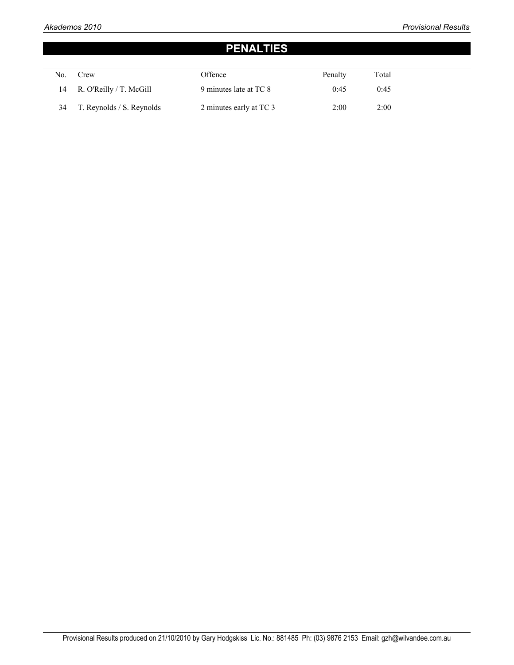## **PENALTIES**

| No. | Crew                       | Offence                 | Penalty | Total |  |
|-----|----------------------------|-------------------------|---------|-------|--|
|     | 14 R. O'Reilly / T. McGill | 9 minutes late at TC 8  | 0:45    | 0:45  |  |
| 34  | T. Reynolds / S. Reynolds  | 2 minutes early at TC 3 | 2:00    | 2:00  |  |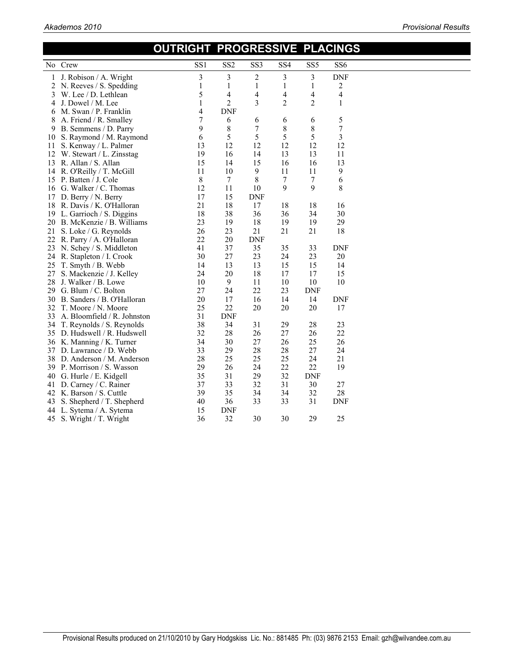| SS1<br>SS <sub>2</sub><br>SS <sub>3</sub><br>SS <sub>4</sub><br>SS <sub>5</sub><br>No Crew<br>SS <sub>6</sub><br>3<br>3<br>2<br>3<br>3<br><b>DNF</b><br>J. Robison / A. Wright<br>1<br>$\mathbf{1}$<br>$\mathbf{1}$<br>$\mathbf{1}$<br>$\mathbf{1}$<br>2<br>N. Reeves / S. Spedding<br>1<br>2<br>5<br>4<br>4<br>4<br>4<br>4<br>W. Lee / D. Lethlean<br>3<br>2<br>3<br>$\overline{c}$<br>2<br>1<br>J. Dowel / M. Lee<br>1<br>4<br>4<br><b>DNF</b><br>M. Swan / P. Franklin<br>6<br>7<br>5<br>8<br>A. Friend / R. Smalley<br>6<br>6<br>6<br>6<br>$\overline{7}$<br>$\,8\,$<br>9<br>8<br>7<br>8<br>B. Semmens / D. Parry<br>9<br>5<br>5<br>5<br>5<br>3<br>6<br>S. Raymond / M. Raymond<br>10<br>12<br>13<br>12<br>12<br>12<br>12<br>S. Kenway / L. Palmer<br>11<br>13<br>11<br>19<br>16<br>14<br>13<br>12<br>W. Stewart / L. Zinsstag<br>15<br>13<br>13 R. Allan / S. Allan<br>15<br>14<br>16<br>16<br>9<br>$\boldsymbol{9}$<br>11<br>10<br>11<br>11<br>14 R. O'Reilly / T. McGill<br>8<br>$\overline{7}$<br>15 P. Batten / J. Cole<br>8<br>7<br>7<br>6<br>9<br>8<br>12<br>11<br>9<br>16 G. Walker / C. Thomas<br>10<br>17<br>15<br>D. Berry / N. Berry<br><b>DNF</b><br>17<br>21<br>18<br>17<br>18<br>18<br>16<br>18 R. Davis / K. O'Halloran<br>18<br>38<br>36<br>34<br>30<br>19 L. Garrioch / S. Diggins<br>36<br>23<br>19<br>18<br>19<br>19<br>29<br>B. McKenzie / B. Williams<br>20<br>26<br>23<br>21<br>21<br>21<br>18<br>21<br>S. Loke / G. Reynolds<br>22<br>$20\,$<br><b>DNF</b><br>22<br>R. Parry / A. O'Halloran<br>37<br>35<br>35<br>41<br>33<br><b>DNF</b><br>23 N. Schey / S. Middleton<br>27<br>30<br>23<br>24<br>23<br>20<br>24 R. Stapleton / I. Crook<br>14<br>13<br>15<br>15<br>T. Smyth / B. Webb<br>13<br>14<br>25<br>20<br>24<br>18<br>17<br>17<br>15<br>S. Mackenzie / J. Kelley<br>27<br>$\overline{9}$<br>10<br>11<br>10<br>10<br>10<br>28<br>J. Walker / B. Lowe<br>27<br>22<br>24<br>23<br><b>DNF</b><br>G. Blum / C. Bolton<br>29<br>20<br>17<br>16<br>14<br>14<br><b>DNF</b><br>B. Sanders / B. O'Halloran<br>30<br>25<br>22<br>20<br>20<br>T. Moore / N. Moore<br>20<br>17<br>32<br>31<br><b>DNF</b><br>33<br>A. Bloomfield / R. Johnston<br>38<br>34<br>31<br>29<br>28<br>23<br>T. Reynolds / S. Reynolds<br>34<br>32<br>28<br>27<br>22<br>26<br>26<br>35 D. Hudswell / R. Hudswell<br>34<br>30<br>27<br>26<br>25<br>26<br>36 K. Manning / K. Turner<br>33<br>29<br>28<br>28<br>27<br>24<br>D. Lawrance / D. Webb<br>37<br>28<br>25<br>25<br>25<br>24<br>21<br>38 D. Anderson / M. Anderson<br>26<br>22<br>22<br>19<br>29<br>24<br>39 P. Morrison / S. Wasson<br>35<br>31<br>32<br><b>DNF</b><br>29<br>G. Hurle / E. Kidgell<br>40<br>37<br>33<br>32<br>31<br>D. Carney / C. Rainer<br>30<br>27<br>41<br>39<br>35<br>34<br>32<br>28<br>K. Barson / S. Cuttle<br>34<br>42<br>31<br>40<br>36<br>33<br>33<br><b>DNF</b><br>S. Shepherd / T. Shepherd<br>43<br>15<br><b>DNF</b><br>L. Sytema / A. Sytema<br>44 |    |                       | <u>UUIKIGHI PROGRESSIVE PLACINGS</u> |    |    |    |    |    |  |
|----------------------------------------------------------------------------------------------------------------------------------------------------------------------------------------------------------------------------------------------------------------------------------------------------------------------------------------------------------------------------------------------------------------------------------------------------------------------------------------------------------------------------------------------------------------------------------------------------------------------------------------------------------------------------------------------------------------------------------------------------------------------------------------------------------------------------------------------------------------------------------------------------------------------------------------------------------------------------------------------------------------------------------------------------------------------------------------------------------------------------------------------------------------------------------------------------------------------------------------------------------------------------------------------------------------------------------------------------------------------------------------------------------------------------------------------------------------------------------------------------------------------------------------------------------------------------------------------------------------------------------------------------------------------------------------------------------------------------------------------------------------------------------------------------------------------------------------------------------------------------------------------------------------------------------------------------------------------------------------------------------------------------------------------------------------------------------------------------------------------------------------------------------------------------------------------------------------------------------------------------------------------------------------------------------------------------------------------------------------------------------------------------------------------------------------------------------------------------------------------------------------------------------------------------------------------------------------------------------------------------------------------------------------------------------------------------------------------------------------------------------------------------------------------------------------------------------------------------------------------------------------------------------------------------------------|----|-----------------------|--------------------------------------|----|----|----|----|----|--|
|                                                                                                                                                                                                                                                                                                                                                                                                                                                                                                                                                                                                                                                                                                                                                                                                                                                                                                                                                                                                                                                                                                                                                                                                                                                                                                                                                                                                                                                                                                                                                                                                                                                                                                                                                                                                                                                                                                                                                                                                                                                                                                                                                                                                                                                                                                                                                                                                                                                                                                                                                                                                                                                                                                                                                                                                                                                                                                                                        |    |                       |                                      |    |    |    |    |    |  |
|                                                                                                                                                                                                                                                                                                                                                                                                                                                                                                                                                                                                                                                                                                                                                                                                                                                                                                                                                                                                                                                                                                                                                                                                                                                                                                                                                                                                                                                                                                                                                                                                                                                                                                                                                                                                                                                                                                                                                                                                                                                                                                                                                                                                                                                                                                                                                                                                                                                                                                                                                                                                                                                                                                                                                                                                                                                                                                                                        |    |                       |                                      |    |    |    |    |    |  |
|                                                                                                                                                                                                                                                                                                                                                                                                                                                                                                                                                                                                                                                                                                                                                                                                                                                                                                                                                                                                                                                                                                                                                                                                                                                                                                                                                                                                                                                                                                                                                                                                                                                                                                                                                                                                                                                                                                                                                                                                                                                                                                                                                                                                                                                                                                                                                                                                                                                                                                                                                                                                                                                                                                                                                                                                                                                                                                                                        |    |                       |                                      |    |    |    |    |    |  |
|                                                                                                                                                                                                                                                                                                                                                                                                                                                                                                                                                                                                                                                                                                                                                                                                                                                                                                                                                                                                                                                                                                                                                                                                                                                                                                                                                                                                                                                                                                                                                                                                                                                                                                                                                                                                                                                                                                                                                                                                                                                                                                                                                                                                                                                                                                                                                                                                                                                                                                                                                                                                                                                                                                                                                                                                                                                                                                                                        |    |                       |                                      |    |    |    |    |    |  |
|                                                                                                                                                                                                                                                                                                                                                                                                                                                                                                                                                                                                                                                                                                                                                                                                                                                                                                                                                                                                                                                                                                                                                                                                                                                                                                                                                                                                                                                                                                                                                                                                                                                                                                                                                                                                                                                                                                                                                                                                                                                                                                                                                                                                                                                                                                                                                                                                                                                                                                                                                                                                                                                                                                                                                                                                                                                                                                                                        |    |                       |                                      |    |    |    |    |    |  |
|                                                                                                                                                                                                                                                                                                                                                                                                                                                                                                                                                                                                                                                                                                                                                                                                                                                                                                                                                                                                                                                                                                                                                                                                                                                                                                                                                                                                                                                                                                                                                                                                                                                                                                                                                                                                                                                                                                                                                                                                                                                                                                                                                                                                                                                                                                                                                                                                                                                                                                                                                                                                                                                                                                                                                                                                                                                                                                                                        |    |                       |                                      |    |    |    |    |    |  |
|                                                                                                                                                                                                                                                                                                                                                                                                                                                                                                                                                                                                                                                                                                                                                                                                                                                                                                                                                                                                                                                                                                                                                                                                                                                                                                                                                                                                                                                                                                                                                                                                                                                                                                                                                                                                                                                                                                                                                                                                                                                                                                                                                                                                                                                                                                                                                                                                                                                                                                                                                                                                                                                                                                                                                                                                                                                                                                                                        |    |                       |                                      |    |    |    |    |    |  |
|                                                                                                                                                                                                                                                                                                                                                                                                                                                                                                                                                                                                                                                                                                                                                                                                                                                                                                                                                                                                                                                                                                                                                                                                                                                                                                                                                                                                                                                                                                                                                                                                                                                                                                                                                                                                                                                                                                                                                                                                                                                                                                                                                                                                                                                                                                                                                                                                                                                                                                                                                                                                                                                                                                                                                                                                                                                                                                                                        |    |                       |                                      |    |    |    |    |    |  |
|                                                                                                                                                                                                                                                                                                                                                                                                                                                                                                                                                                                                                                                                                                                                                                                                                                                                                                                                                                                                                                                                                                                                                                                                                                                                                                                                                                                                                                                                                                                                                                                                                                                                                                                                                                                                                                                                                                                                                                                                                                                                                                                                                                                                                                                                                                                                                                                                                                                                                                                                                                                                                                                                                                                                                                                                                                                                                                                                        |    |                       |                                      |    |    |    |    |    |  |
|                                                                                                                                                                                                                                                                                                                                                                                                                                                                                                                                                                                                                                                                                                                                                                                                                                                                                                                                                                                                                                                                                                                                                                                                                                                                                                                                                                                                                                                                                                                                                                                                                                                                                                                                                                                                                                                                                                                                                                                                                                                                                                                                                                                                                                                                                                                                                                                                                                                                                                                                                                                                                                                                                                                                                                                                                                                                                                                                        |    |                       |                                      |    |    |    |    |    |  |
|                                                                                                                                                                                                                                                                                                                                                                                                                                                                                                                                                                                                                                                                                                                                                                                                                                                                                                                                                                                                                                                                                                                                                                                                                                                                                                                                                                                                                                                                                                                                                                                                                                                                                                                                                                                                                                                                                                                                                                                                                                                                                                                                                                                                                                                                                                                                                                                                                                                                                                                                                                                                                                                                                                                                                                                                                                                                                                                                        |    |                       |                                      |    |    |    |    |    |  |
|                                                                                                                                                                                                                                                                                                                                                                                                                                                                                                                                                                                                                                                                                                                                                                                                                                                                                                                                                                                                                                                                                                                                                                                                                                                                                                                                                                                                                                                                                                                                                                                                                                                                                                                                                                                                                                                                                                                                                                                                                                                                                                                                                                                                                                                                                                                                                                                                                                                                                                                                                                                                                                                                                                                                                                                                                                                                                                                                        |    |                       |                                      |    |    |    |    |    |  |
|                                                                                                                                                                                                                                                                                                                                                                                                                                                                                                                                                                                                                                                                                                                                                                                                                                                                                                                                                                                                                                                                                                                                                                                                                                                                                                                                                                                                                                                                                                                                                                                                                                                                                                                                                                                                                                                                                                                                                                                                                                                                                                                                                                                                                                                                                                                                                                                                                                                                                                                                                                                                                                                                                                                                                                                                                                                                                                                                        |    |                       |                                      |    |    |    |    |    |  |
|                                                                                                                                                                                                                                                                                                                                                                                                                                                                                                                                                                                                                                                                                                                                                                                                                                                                                                                                                                                                                                                                                                                                                                                                                                                                                                                                                                                                                                                                                                                                                                                                                                                                                                                                                                                                                                                                                                                                                                                                                                                                                                                                                                                                                                                                                                                                                                                                                                                                                                                                                                                                                                                                                                                                                                                                                                                                                                                                        |    |                       |                                      |    |    |    |    |    |  |
|                                                                                                                                                                                                                                                                                                                                                                                                                                                                                                                                                                                                                                                                                                                                                                                                                                                                                                                                                                                                                                                                                                                                                                                                                                                                                                                                                                                                                                                                                                                                                                                                                                                                                                                                                                                                                                                                                                                                                                                                                                                                                                                                                                                                                                                                                                                                                                                                                                                                                                                                                                                                                                                                                                                                                                                                                                                                                                                                        |    |                       |                                      |    |    |    |    |    |  |
|                                                                                                                                                                                                                                                                                                                                                                                                                                                                                                                                                                                                                                                                                                                                                                                                                                                                                                                                                                                                                                                                                                                                                                                                                                                                                                                                                                                                                                                                                                                                                                                                                                                                                                                                                                                                                                                                                                                                                                                                                                                                                                                                                                                                                                                                                                                                                                                                                                                                                                                                                                                                                                                                                                                                                                                                                                                                                                                                        |    |                       |                                      |    |    |    |    |    |  |
|                                                                                                                                                                                                                                                                                                                                                                                                                                                                                                                                                                                                                                                                                                                                                                                                                                                                                                                                                                                                                                                                                                                                                                                                                                                                                                                                                                                                                                                                                                                                                                                                                                                                                                                                                                                                                                                                                                                                                                                                                                                                                                                                                                                                                                                                                                                                                                                                                                                                                                                                                                                                                                                                                                                                                                                                                                                                                                                                        |    |                       |                                      |    |    |    |    |    |  |
|                                                                                                                                                                                                                                                                                                                                                                                                                                                                                                                                                                                                                                                                                                                                                                                                                                                                                                                                                                                                                                                                                                                                                                                                                                                                                                                                                                                                                                                                                                                                                                                                                                                                                                                                                                                                                                                                                                                                                                                                                                                                                                                                                                                                                                                                                                                                                                                                                                                                                                                                                                                                                                                                                                                                                                                                                                                                                                                                        |    |                       |                                      |    |    |    |    |    |  |
|                                                                                                                                                                                                                                                                                                                                                                                                                                                                                                                                                                                                                                                                                                                                                                                                                                                                                                                                                                                                                                                                                                                                                                                                                                                                                                                                                                                                                                                                                                                                                                                                                                                                                                                                                                                                                                                                                                                                                                                                                                                                                                                                                                                                                                                                                                                                                                                                                                                                                                                                                                                                                                                                                                                                                                                                                                                                                                                                        |    |                       |                                      |    |    |    |    |    |  |
|                                                                                                                                                                                                                                                                                                                                                                                                                                                                                                                                                                                                                                                                                                                                                                                                                                                                                                                                                                                                                                                                                                                                                                                                                                                                                                                                                                                                                                                                                                                                                                                                                                                                                                                                                                                                                                                                                                                                                                                                                                                                                                                                                                                                                                                                                                                                                                                                                                                                                                                                                                                                                                                                                                                                                                                                                                                                                                                                        |    |                       |                                      |    |    |    |    |    |  |
|                                                                                                                                                                                                                                                                                                                                                                                                                                                                                                                                                                                                                                                                                                                                                                                                                                                                                                                                                                                                                                                                                                                                                                                                                                                                                                                                                                                                                                                                                                                                                                                                                                                                                                                                                                                                                                                                                                                                                                                                                                                                                                                                                                                                                                                                                                                                                                                                                                                                                                                                                                                                                                                                                                                                                                                                                                                                                                                                        |    |                       |                                      |    |    |    |    |    |  |
|                                                                                                                                                                                                                                                                                                                                                                                                                                                                                                                                                                                                                                                                                                                                                                                                                                                                                                                                                                                                                                                                                                                                                                                                                                                                                                                                                                                                                                                                                                                                                                                                                                                                                                                                                                                                                                                                                                                                                                                                                                                                                                                                                                                                                                                                                                                                                                                                                                                                                                                                                                                                                                                                                                                                                                                                                                                                                                                                        |    |                       |                                      |    |    |    |    |    |  |
|                                                                                                                                                                                                                                                                                                                                                                                                                                                                                                                                                                                                                                                                                                                                                                                                                                                                                                                                                                                                                                                                                                                                                                                                                                                                                                                                                                                                                                                                                                                                                                                                                                                                                                                                                                                                                                                                                                                                                                                                                                                                                                                                                                                                                                                                                                                                                                                                                                                                                                                                                                                                                                                                                                                                                                                                                                                                                                                                        |    |                       |                                      |    |    |    |    |    |  |
|                                                                                                                                                                                                                                                                                                                                                                                                                                                                                                                                                                                                                                                                                                                                                                                                                                                                                                                                                                                                                                                                                                                                                                                                                                                                                                                                                                                                                                                                                                                                                                                                                                                                                                                                                                                                                                                                                                                                                                                                                                                                                                                                                                                                                                                                                                                                                                                                                                                                                                                                                                                                                                                                                                                                                                                                                                                                                                                                        |    |                       |                                      |    |    |    |    |    |  |
|                                                                                                                                                                                                                                                                                                                                                                                                                                                                                                                                                                                                                                                                                                                                                                                                                                                                                                                                                                                                                                                                                                                                                                                                                                                                                                                                                                                                                                                                                                                                                                                                                                                                                                                                                                                                                                                                                                                                                                                                                                                                                                                                                                                                                                                                                                                                                                                                                                                                                                                                                                                                                                                                                                                                                                                                                                                                                                                                        |    |                       |                                      |    |    |    |    |    |  |
|                                                                                                                                                                                                                                                                                                                                                                                                                                                                                                                                                                                                                                                                                                                                                                                                                                                                                                                                                                                                                                                                                                                                                                                                                                                                                                                                                                                                                                                                                                                                                                                                                                                                                                                                                                                                                                                                                                                                                                                                                                                                                                                                                                                                                                                                                                                                                                                                                                                                                                                                                                                                                                                                                                                                                                                                                                                                                                                                        |    |                       |                                      |    |    |    |    |    |  |
|                                                                                                                                                                                                                                                                                                                                                                                                                                                                                                                                                                                                                                                                                                                                                                                                                                                                                                                                                                                                                                                                                                                                                                                                                                                                                                                                                                                                                                                                                                                                                                                                                                                                                                                                                                                                                                                                                                                                                                                                                                                                                                                                                                                                                                                                                                                                                                                                                                                                                                                                                                                                                                                                                                                                                                                                                                                                                                                                        |    |                       |                                      |    |    |    |    |    |  |
|                                                                                                                                                                                                                                                                                                                                                                                                                                                                                                                                                                                                                                                                                                                                                                                                                                                                                                                                                                                                                                                                                                                                                                                                                                                                                                                                                                                                                                                                                                                                                                                                                                                                                                                                                                                                                                                                                                                                                                                                                                                                                                                                                                                                                                                                                                                                                                                                                                                                                                                                                                                                                                                                                                                                                                                                                                                                                                                                        |    |                       |                                      |    |    |    |    |    |  |
|                                                                                                                                                                                                                                                                                                                                                                                                                                                                                                                                                                                                                                                                                                                                                                                                                                                                                                                                                                                                                                                                                                                                                                                                                                                                                                                                                                                                                                                                                                                                                                                                                                                                                                                                                                                                                                                                                                                                                                                                                                                                                                                                                                                                                                                                                                                                                                                                                                                                                                                                                                                                                                                                                                                                                                                                                                                                                                                                        |    |                       |                                      |    |    |    |    |    |  |
|                                                                                                                                                                                                                                                                                                                                                                                                                                                                                                                                                                                                                                                                                                                                                                                                                                                                                                                                                                                                                                                                                                                                                                                                                                                                                                                                                                                                                                                                                                                                                                                                                                                                                                                                                                                                                                                                                                                                                                                                                                                                                                                                                                                                                                                                                                                                                                                                                                                                                                                                                                                                                                                                                                                                                                                                                                                                                                                                        |    |                       |                                      |    |    |    |    |    |  |
|                                                                                                                                                                                                                                                                                                                                                                                                                                                                                                                                                                                                                                                                                                                                                                                                                                                                                                                                                                                                                                                                                                                                                                                                                                                                                                                                                                                                                                                                                                                                                                                                                                                                                                                                                                                                                                                                                                                                                                                                                                                                                                                                                                                                                                                                                                                                                                                                                                                                                                                                                                                                                                                                                                                                                                                                                                                                                                                                        |    |                       |                                      |    |    |    |    |    |  |
|                                                                                                                                                                                                                                                                                                                                                                                                                                                                                                                                                                                                                                                                                                                                                                                                                                                                                                                                                                                                                                                                                                                                                                                                                                                                                                                                                                                                                                                                                                                                                                                                                                                                                                                                                                                                                                                                                                                                                                                                                                                                                                                                                                                                                                                                                                                                                                                                                                                                                                                                                                                                                                                                                                                                                                                                                                                                                                                                        |    |                       |                                      |    |    |    |    |    |  |
|                                                                                                                                                                                                                                                                                                                                                                                                                                                                                                                                                                                                                                                                                                                                                                                                                                                                                                                                                                                                                                                                                                                                                                                                                                                                                                                                                                                                                                                                                                                                                                                                                                                                                                                                                                                                                                                                                                                                                                                                                                                                                                                                                                                                                                                                                                                                                                                                                                                                                                                                                                                                                                                                                                                                                                                                                                                                                                                                        |    |                       |                                      |    |    |    |    |    |  |
|                                                                                                                                                                                                                                                                                                                                                                                                                                                                                                                                                                                                                                                                                                                                                                                                                                                                                                                                                                                                                                                                                                                                                                                                                                                                                                                                                                                                                                                                                                                                                                                                                                                                                                                                                                                                                                                                                                                                                                                                                                                                                                                                                                                                                                                                                                                                                                                                                                                                                                                                                                                                                                                                                                                                                                                                                                                                                                                                        |    |                       |                                      |    |    |    |    |    |  |
|                                                                                                                                                                                                                                                                                                                                                                                                                                                                                                                                                                                                                                                                                                                                                                                                                                                                                                                                                                                                                                                                                                                                                                                                                                                                                                                                                                                                                                                                                                                                                                                                                                                                                                                                                                                                                                                                                                                                                                                                                                                                                                                                                                                                                                                                                                                                                                                                                                                                                                                                                                                                                                                                                                                                                                                                                                                                                                                                        |    |                       |                                      |    |    |    |    |    |  |
|                                                                                                                                                                                                                                                                                                                                                                                                                                                                                                                                                                                                                                                                                                                                                                                                                                                                                                                                                                                                                                                                                                                                                                                                                                                                                                                                                                                                                                                                                                                                                                                                                                                                                                                                                                                                                                                                                                                                                                                                                                                                                                                                                                                                                                                                                                                                                                                                                                                                                                                                                                                                                                                                                                                                                                                                                                                                                                                                        |    |                       |                                      |    |    |    |    |    |  |
|                                                                                                                                                                                                                                                                                                                                                                                                                                                                                                                                                                                                                                                                                                                                                                                                                                                                                                                                                                                                                                                                                                                                                                                                                                                                                                                                                                                                                                                                                                                                                                                                                                                                                                                                                                                                                                                                                                                                                                                                                                                                                                                                                                                                                                                                                                                                                                                                                                                                                                                                                                                                                                                                                                                                                                                                                                                                                                                                        |    |                       |                                      |    |    |    |    |    |  |
|                                                                                                                                                                                                                                                                                                                                                                                                                                                                                                                                                                                                                                                                                                                                                                                                                                                                                                                                                                                                                                                                                                                                                                                                                                                                                                                                                                                                                                                                                                                                                                                                                                                                                                                                                                                                                                                                                                                                                                                                                                                                                                                                                                                                                                                                                                                                                                                                                                                                                                                                                                                                                                                                                                                                                                                                                                                                                                                                        |    |                       |                                      |    |    |    |    |    |  |
|                                                                                                                                                                                                                                                                                                                                                                                                                                                                                                                                                                                                                                                                                                                                                                                                                                                                                                                                                                                                                                                                                                                                                                                                                                                                                                                                                                                                                                                                                                                                                                                                                                                                                                                                                                                                                                                                                                                                                                                                                                                                                                                                                                                                                                                                                                                                                                                                                                                                                                                                                                                                                                                                                                                                                                                                                                                                                                                                        |    |                       |                                      |    |    |    |    |    |  |
|                                                                                                                                                                                                                                                                                                                                                                                                                                                                                                                                                                                                                                                                                                                                                                                                                                                                                                                                                                                                                                                                                                                                                                                                                                                                                                                                                                                                                                                                                                                                                                                                                                                                                                                                                                                                                                                                                                                                                                                                                                                                                                                                                                                                                                                                                                                                                                                                                                                                                                                                                                                                                                                                                                                                                                                                                                                                                                                                        |    |                       |                                      |    |    |    |    |    |  |
|                                                                                                                                                                                                                                                                                                                                                                                                                                                                                                                                                                                                                                                                                                                                                                                                                                                                                                                                                                                                                                                                                                                                                                                                                                                                                                                                                                                                                                                                                                                                                                                                                                                                                                                                                                                                                                                                                                                                                                                                                                                                                                                                                                                                                                                                                                                                                                                                                                                                                                                                                                                                                                                                                                                                                                                                                                                                                                                                        |    |                       |                                      |    |    |    |    |    |  |
|                                                                                                                                                                                                                                                                                                                                                                                                                                                                                                                                                                                                                                                                                                                                                                                                                                                                                                                                                                                                                                                                                                                                                                                                                                                                                                                                                                                                                                                                                                                                                                                                                                                                                                                                                                                                                                                                                                                                                                                                                                                                                                                                                                                                                                                                                                                                                                                                                                                                                                                                                                                                                                                                                                                                                                                                                                                                                                                                        | 45 | S. Wright / T. Wright | 36                                   | 32 | 30 | 30 | 29 | 25 |  |

## **OUTRIGHT PROGRESSIVE PLACINGS**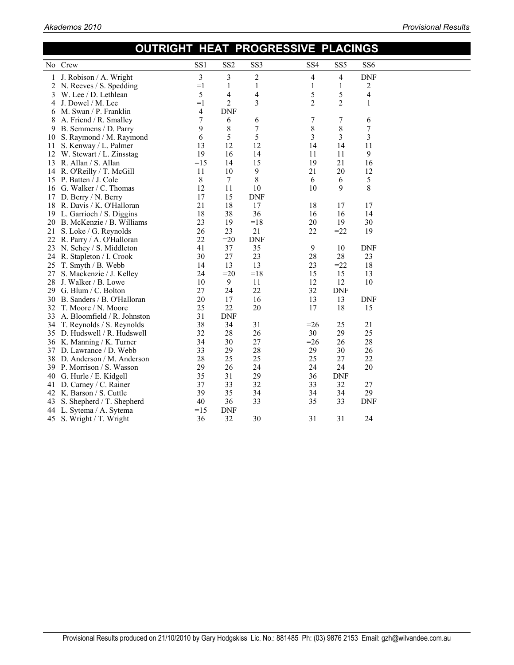|              | OUTRIGHT HEAT PROGRESSIVE PLACINGS |                 |                          |                 |                 |                 |                 |  |
|--------------|------------------------------------|-----------------|--------------------------|-----------------|-----------------|-----------------|-----------------|--|
|              | No Crew                            | SS <sub>1</sub> | SS <sub>2</sub>          | SS <sub>3</sub> | SS <sub>4</sub> | SS <sub>5</sub> | SS <sub>6</sub> |  |
| 1            | J. Robison / A. Wright             | 3               | 3                        | $\overline{c}$  | 4               | 4               | <b>DNF</b>      |  |
|              | 2 N. Reeves / S. Spedding          | $=1$            | 1                        | 1               | 1               | 1               | 2               |  |
| 3            | W. Lee / D. Lethlean               | 5               | $\overline{\mathcal{A}}$ | 4               | 5               | 5               | 4               |  |
| 4            | J. Dowel / M. Lee                  | $=1$            | $\overline{2}$           | 3               | $\overline{c}$  | $\overline{2}$  | 1               |  |
| 6            | M. Swan / P. Franklin              | 4               | <b>DNF</b>               |                 |                 |                 |                 |  |
| 8            | A. Friend / R. Smalley             | 7               | 6                        | 6               | 7               | 7               | 6               |  |
| 9            | B. Semmens / D. Parry              | 9               | 8                        | 7               | 8               | $\,$ 8 $\,$     | 7               |  |
| 10           | S. Raymond / M. Raymond            | 6               | 5                        | 5               | 3               | 3               | 3               |  |
| $\mathbf{H}$ | S. Kenway / L. Palmer              | 13              | 12                       | 12              | 14              | 14              | 11              |  |
| 12           | W. Stewart / L. Zinsstag           | 19              | 16                       | 14              | 11              | 11              | 9               |  |
| 13           | R. Allan / S. Allan                | $=15$           | 14                       | 15              | 19              | 21              | 16              |  |
| 14           | R. O'Reilly / T. McGill            | 11              | 10                       | 9               | 21              | 20              | 12              |  |
| 15           | P. Batten / J. Cole                | 8               | $7\phantom{.0}$          | 8               | 6               | 6               | 5               |  |
| 16           | G. Walker / C. Thomas              | 12              | 11                       | 10              | 10              | 9               | 8               |  |
| 17           | D. Berry / N. Berry                | 17              | 15                       | <b>DNF</b>      |                 |                 |                 |  |
| 18           | R. Davis / K. O'Halloran           | 21              | 18                       | 17              | 18              | 17              | 17              |  |
| 19           | L. Garrioch / S. Diggins           | 18              | 38                       | 36              | 16              | 16              | 14              |  |
| 20           | B. McKenzie / B. Williams          | 23              | 19                       | $=18$           | 20              | 19              | 30              |  |
| 21           | S. Loke / G. Reynolds              | 26              | 23                       | 21              | 22              | $=22$           | 19              |  |
| 22           | R. Parry / A. O'Halloran           | 22              | $=20$                    | <b>DNF</b>      |                 |                 |                 |  |
| 23           | N. Schey / S. Middleton            | 41              | 37                       | 35              | 9               | 10              | <b>DNF</b>      |  |
| 24           | R. Stapleton / I. Crook            | 30              | 27                       | 23              | 28              | 28              | 23              |  |
| 25           | T. Smyth / B. Webb                 | 14              | 13                       | 13              | 23              | $=22$           | 18              |  |
| 27           | S. Mackenzie / J. Kelley           | 24              | $=20$                    | $=18$           | 15              | 15              | 13              |  |
| 28           | J. Walker / B. Lowe                | 10              | 9                        | 11              | 12              | 12              | 10              |  |
| 29           | G. Blum / C. Bolton                | 27              | 24                       | 22              | 32              | <b>DNF</b>      |                 |  |
| 30           | B. Sanders / B. O'Halloran         | 20              | 17                       | 16              | 13              | 13              | <b>DNF</b>      |  |
| 32           | T. Moore / N. Moore                | 25              | 22                       | 20              | 17              | 18              | 15              |  |
| 33           | A. Bloomfield / R. Johnston        | 31              | <b>DNF</b>               |                 |                 |                 |                 |  |
| 34           | T. Reynolds / S. Reynolds          | 38              | 34                       | 31              | $=26$           | 25              | 21              |  |
|              | 35 D. Hudswell / R. Hudswell       | 32              | 28                       | 26              | 30              | 29              | 25              |  |
|              | 36 K. Manning / K. Turner          | 34              | 30                       | 27              | $=26$           | 26              | 28              |  |
|              | 37 D. Lawrance / D. Webb           | 33              | 29                       | 28              | 29              | 30              | 26              |  |
|              | 38 D. Anderson / M. Anderson       | 28              | 25                       | 25              | 25              | 27              | 22              |  |
|              | 39 P. Morrison / S. Wasson         | 29              | 26                       | 24              | 24              | 24              | 20              |  |
| 40           | G. Hurle / E. Kidgell              | 35              | 31                       | 29              | 36              | <b>DNF</b>      |                 |  |
| 41           | D. Carney / C. Rainer              | 37              | 33                       | 32              | 33              | 32              | 27              |  |
| 42           | K. Barson / S. Cuttle              | 39              | 35                       | 34              | 34              | 34              | 29              |  |
| 43           | S. Shepherd / T. Shepherd          | 40              | 36                       | 33              | 35              | 33              | <b>DNF</b>      |  |
| 44           | L. Sytema / A. Sytema              | $=15$           | <b>DNF</b>               |                 |                 |                 |                 |  |
| 45           | S. Wright / T. Wright              | 36              | 32                       | 30              | 31              | 31              | 24              |  |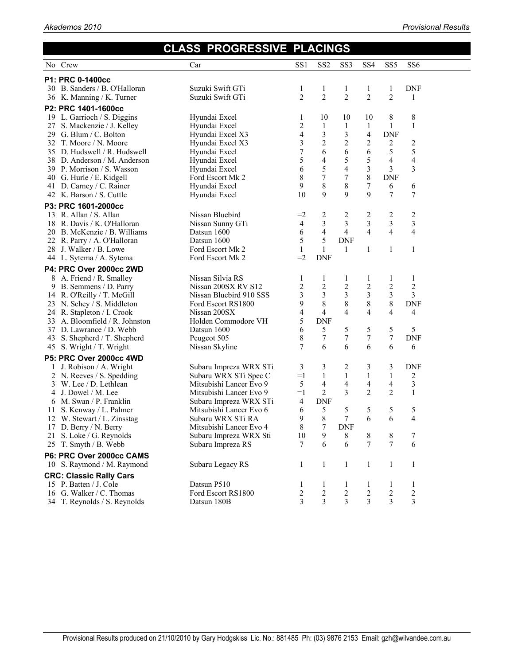## **CLASS PROGRESSIVE PLACINGS**

|     | No Crew                                            | Car                                               | SS <sub>1</sub>         | SS <sub>2</sub>         | SS <sub>3</sub>         | SS <sub>4</sub>         | SS <sub>5</sub>  | SS <sub>6</sub>         |  |
|-----|----------------------------------------------------|---------------------------------------------------|-------------------------|-------------------------|-------------------------|-------------------------|------------------|-------------------------|--|
|     |                                                    |                                                   |                         |                         |                         |                         |                  |                         |  |
|     | P1: PRC 0-1400cc                                   |                                                   |                         |                         |                         |                         |                  |                         |  |
|     | 30 B. Sanders / B. O'Halloran                      | Suzuki Swift GTi                                  | 1                       | $\mathbf{1}$            | $\mathbf{1}$            | 1                       | 1                | <b>DNF</b>              |  |
|     | 36 K. Manning / K. Turner                          | Suzuki Swift GTi                                  | $\overline{2}$          | $\overline{c}$          | $\overline{c}$          | $\overline{2}$          | $\overline{2}$   | 1                       |  |
|     | P2: PRC 1401-1600cc                                |                                                   |                         |                         |                         |                         |                  |                         |  |
|     | 19 L. Garrioch / S. Diggins                        | Hyundai Excel                                     | 1                       | 10                      | 10                      | 10                      | 8                | 8                       |  |
|     | 27 S. Mackenzie / J. Kelley                        | Hyundai Excel                                     | $\overline{c}$          | $\mathbf{1}$            | $\mathbf{1}$            | $\mathbf{1}$            | $\mathbf{1}$     | $\mathbf{1}$            |  |
|     | 29 G. Blum / C. Bolton                             | Hyundai Excel X3                                  | 4                       | $\overline{\mathbf{3}}$ | $\overline{\mathbf{3}}$ | 4                       | <b>DNF</b>       |                         |  |
|     | 32 T. Moore / N. Moore                             | Hyundai Excel X3                                  | $\mathfrak{Z}$          | $\overline{c}$          | $\overline{2}$          | 2                       | 2                | 2                       |  |
|     | 35 D. Hudswell / R. Hudswell                       | Hyundai Excel                                     | $\overline{7}$          | 6                       | 6                       | 6                       | 5                | 5                       |  |
|     | 38 D. Anderson / M. Anderson                       | Hyundai Excel                                     | 5                       | $\overline{\mathbf{4}}$ | 5                       | 5                       | 4                | 4                       |  |
|     | 39 P. Morrison / S. Wasson                         | Hyundai Excel                                     | 6                       | 5                       | 4                       | 3                       | 3                | 3                       |  |
|     | 40 G. Hurle / E. Kidgell                           | Ford Escort Mk 2                                  | $\,$ $\,$               | $\overline{7}$          | $\sqrt{ }$              | 8                       | <b>DNF</b>       |                         |  |
|     | 41 D. Carney / C. Rainer                           | Hyundai Excel                                     | 9                       | $8\,$                   | 8                       | $\overline{7}$          | 6                | 6                       |  |
|     | 42 K. Barson / S. Cuttle                           | Hyundai Excel                                     | 10                      | 9                       | 9                       | 9                       | 7                | 7                       |  |
|     | P3: PRC 1601-2000cc                                |                                                   |                         |                         |                         |                         |                  |                         |  |
|     | 13 R. Allan / S. Allan                             | Nissan Bluebird                                   | $=2$                    | 2                       | 2                       | $\overline{\mathbf{c}}$ | 2                | 2                       |  |
| 18  | R. Davis / K. O'Halloran                           | Nissan Sunny GTi                                  | 4                       | $\overline{3}$          | $\overline{3}$          | $\overline{3}$          | 3                | 3                       |  |
|     | 20 B. McKenzie / B. Williams                       | Datsun 1600                                       | 6                       | $\overline{4}$          | $\overline{4}$          | $\overline{4}$          | $\overline{4}$   | 4                       |  |
|     | 22 R. Parry / A. O'Halloran                        | Datsun 1600                                       | 5                       | 5                       | <b>DNF</b>              |                         |                  |                         |  |
|     | 28 J. Walker / B. Lowe                             | Ford Escort Mk 2                                  | $\mathbf{1}$            | $\mathbf{1}$            | 1                       | $\mathbf{1}$            | $\mathbf{1}$     | $\mathbf{1}$            |  |
|     | 44 L. Sytema / A. Sytema                           | Ford Escort Mk 2                                  | $=2$                    | <b>DNF</b>              |                         |                         |                  |                         |  |
|     | P4: PRC Over 2000cc 2WD                            |                                                   |                         |                         |                         |                         |                  |                         |  |
| 8   | A. Friend / R. Smalley                             | Nissan Silvia RS                                  | 1                       | $\mathbf{1}$            | $\mathbf{1}$            | $\mathbf{1}$            | 1                | $\mathbf{1}$            |  |
| 9   | B. Semmens / D. Parry                              | Nissan 200SX RV S12                               | $\overline{c}$          | $\overline{2}$          | $\overline{c}$          | $\overline{c}$          | $\overline{c}$   | $\overline{c}$          |  |
|     | 14 R. O'Reilly / T. McGill                         | Nissan Bluebird 910 SSS                           | 3                       | $\overline{\mathbf{3}}$ | $\overline{3}$          | 3                       | 3                | 3                       |  |
|     | 23 N. Schey / S. Middleton                         | Ford Escort RS1800                                | 9                       | 8                       | $\,$ $\,$               | $\,8\,$                 | $\,$ 8 $\,$      | <b>DNF</b>              |  |
|     | 24 R. Stapleton / I. Crook                         | Nissan 200SX                                      | 4                       | 4                       | 4                       | 4                       | 4                | 4                       |  |
|     | 33 A. Bloomfield / R. Johnston                     | Holden Commodore VH                               | 5                       | <b>DNF</b>              |                         |                         |                  |                         |  |
|     | 37 D. Lawrance / D. Webb                           | Datsun 1600                                       | 6                       | 5                       | 5                       | 5                       | 5                | 5                       |  |
|     | 43 S. Shepherd / T. Shepherd                       | Peugeot 505                                       | 8                       | $\boldsymbol{7}$        | $\boldsymbol{7}$        | $\overline{7}$          | $\boldsymbol{7}$ | <b>DNF</b>              |  |
|     | 45 S. Wright / T. Wright                           | Nissan Skyline                                    | 7                       | 6                       | 6                       | 6                       | 6                | 6                       |  |
|     | P5: PRC Over 2000cc 4WD                            |                                                   |                         |                         |                         |                         |                  |                         |  |
| 1   | J. Robison / A. Wright                             | Subaru Impreza WRX STi                            | 3                       | 3                       | 2                       | 3                       | 3                | <b>DNF</b>              |  |
| 2   | N. Reeves / S. Spedding                            | Subaru WRX STi Spec C                             | $=1$                    | $\mathbf{1}$            | $\mathbf{1}$            | $\mathbf{1}$            | $\mathbf{1}$     | 2                       |  |
| 3   | W. Lee / D. Lethlean                               | Mitsubishi Lancer Evo 9                           | 5                       | 4                       | 4                       | 4                       | 4                | 3                       |  |
| 4   | J. Dowel / M. Lee                                  | Mitsubishi Lancer Evo 9                           | $=1$                    | $\overline{2}$          | 3                       | $\overline{c}$          | $\overline{2}$   | $\mathbf{1}$            |  |
| 6   | M. Swan / P. Franklin                              | Subaru Impreza WRX STi                            | 4                       | <b>DNF</b>              |                         |                         |                  |                         |  |
| 11. | S. Kenway / L. Palmer                              | Mitsubishi Lancer Evo 6                           | 6                       | 5                       | 5                       | 5<br>6                  | 5<br>6           | 5                       |  |
|     | 12 W. Stewart / L. Zinsstag                        | Subaru WRX STi RA                                 | 9<br>8                  | $\,8$<br>7              | 7<br><b>DNF</b>         |                         |                  | 4                       |  |
|     | 17 D. Berry / N. Berry<br>21 S. Loke / G. Reynolds | Mitsubishi Lancer Evo 4<br>Subaru Impreza WRX Sti |                         | 9                       |                         |                         |                  | 7                       |  |
|     | 25 T. Smyth / B. Webb                              | Subaru Impreza RS                                 | 10<br>7                 | 6                       | 8<br>6                  | 8<br>7                  | 8<br>7           | 6                       |  |
|     |                                                    |                                                   |                         |                         |                         |                         |                  |                         |  |
|     | P6: PRC Over 2000cc CAMS                           |                                                   |                         |                         |                         |                         |                  |                         |  |
|     | 10 S. Raymond / M. Raymond                         | Subaru Legacy RS                                  | 1                       | $\mathbf{1}$            | $\mathbf{1}$            | $\mathbf{1}$            | $\mathbf{1}$     | $\mathbf{1}$            |  |
|     | <b>CRC: Classic Rally Cars</b>                     |                                                   |                         |                         |                         |                         |                  |                         |  |
|     | 15 P. Batten / J. Cole                             | Datsun P510                                       | 1                       | $\mathbf{1}$            | $\mathbf{1}$            | 1                       | $\mathbf{1}$     | 1                       |  |
|     | 16 G. Walker / C. Thomas                           | Ford Escort RS1800                                | $\overline{\mathbf{c}}$ | $\boldsymbol{2}$        | $\sqrt{2}$              | $\overline{c}$          | $\sqrt{2}$       | $\boldsymbol{2}$        |  |
|     | 34 T. Reynolds / S. Reynolds                       | Datsun 180B                                       | 3                       | 3                       | 3                       | 3                       | 3                | $\overline{\mathbf{3}}$ |  |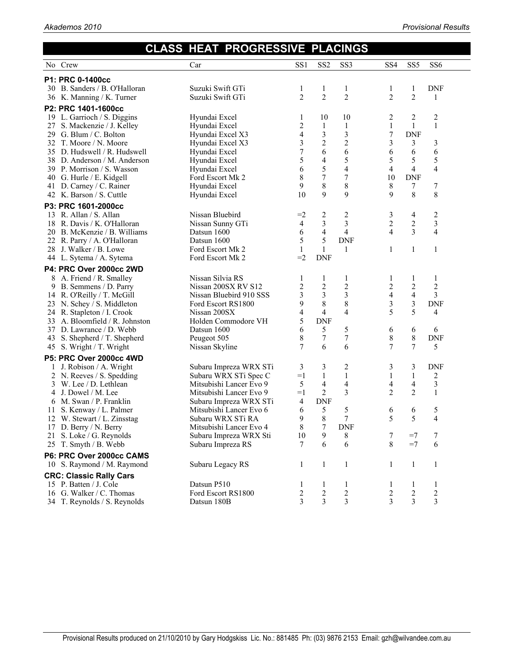|    |                                | <b>CLASS HEAT PROGRESSIVE PLACINGS</b> |                          |                         |                         |                 |                          |                         |  |
|----|--------------------------------|----------------------------------------|--------------------------|-------------------------|-------------------------|-----------------|--------------------------|-------------------------|--|
|    | No Crew                        | Car                                    | SS <sub>1</sub>          | SS <sub>2</sub>         | SS <sub>3</sub>         | SS <sub>4</sub> | SS <sub>5</sub>          | SS <sub>6</sub>         |  |
|    | P1: PRC 0-1400cc               |                                        |                          |                         |                         |                 |                          |                         |  |
|    | 30 B. Sanders / B. O'Halloran  | Suzuki Swift GTi                       | 1                        | $\mathbf{1}$            | $\mathbf{1}$            | $\mathbf{1}$    | 1                        | <b>DNF</b>              |  |
|    | 36 K. Manning / K. Turner      | Suzuki Swift GTi                       | $\overline{2}$           | $\overline{2}$          | $\overline{c}$          | $\overline{2}$  | $\overline{2}$           | 1                       |  |
|    | P2: PRC 1401-1600cc            |                                        |                          |                         |                         |                 |                          |                         |  |
|    | 19 L. Garrioch / S. Diggins    | Hyundai Excel                          | 1                        | 10                      | 10                      | 2               | 2                        | 2                       |  |
|    | 27 S. Mackenzie / J. Kelley    | Hyundai Excel                          | 2                        | 1                       | $\mathbf{1}$            | $\mathbf{1}$    | $\mathbf{1}$             | $\mathbf{1}$            |  |
|    | 29 G. Blum / C. Bolton         | Hyundai Excel X3                       | $\overline{\mathcal{A}}$ | $\overline{\mathbf{3}}$ | $\overline{\mathbf{3}}$ | 7               | <b>DNF</b>               |                         |  |
|    | 32 T. Moore / N. Moore         | Hyundai Excel X3                       | 3                        | $\overline{c}$          | $\overline{c}$          | 3               | 3                        | 3                       |  |
|    | 35 D. Hudswell / R. Hudswell   | Hyundai Excel                          | 7                        | 6                       | 6                       | 6               | 6                        | 6                       |  |
|    | 38 D. Anderson / M. Anderson   | Hyundai Excel                          | 5                        | $\overline{\mathbf{4}}$ | 5                       | 5               | 5                        | 5                       |  |
|    | 39 P. Morrison / S. Wasson     | Hyundai Excel                          | 6                        | 5                       | 4                       | 4               | 4                        | 4                       |  |
|    | 40 G. Hurle / E. Kidgell       | Ford Escort Mk 2                       | 8                        | $\overline{7}$          | 7                       | 10              | <b>DNF</b>               |                         |  |
|    | 41 D. Carney / C. Rainer       | Hyundai Excel                          | 9                        | 8                       | $\,$ 8 $\,$             | 8               | 7                        | 7                       |  |
|    | 42 K. Barson / S. Cuttle       | Hyundai Excel                          | 10                       | 9                       | 9                       | 9               | 8                        | 8                       |  |
|    | P3: PRC 1601-2000cc            |                                        |                          |                         |                         |                 |                          |                         |  |
|    | 13 R. Allan / S. Allan         | Nissan Bluebird                        | $=2$                     | 2                       | 2                       | 3               | 4                        | $\overline{\mathbf{c}}$ |  |
|    | 18 R. Davis / K. O'Halloran    | Nissan Sunny GTi                       | $\overline{4}$           | 3                       | 3                       | $\overline{c}$  | $\overline{\mathbf{c}}$  | 3                       |  |
|    | 20 B. McKenzie / B. Williams   | Datsun 1600                            | 6                        | $\overline{4}$          | $\overline{4}$          | $\overline{4}$  | $\overline{3}$           | 4                       |  |
|    | 22 R. Parry / A. O'Halloran    | Datsun 1600                            | 5                        | 5                       | <b>DNF</b>              |                 |                          |                         |  |
|    | 28 J. Walker / B. Lowe         | Ford Escort Mk 2                       | $\mathbf{1}$             | $\mathbf{1}$            | $\mathbf{1}$            | 1               | 1                        | $\mathbf{1}$            |  |
|    | 44 L. Sytema / A. Sytema       | Ford Escort Mk 2                       | $=2$                     | <b>DNF</b>              |                         |                 |                          |                         |  |
|    | P4: PRC Over 2000cc 2WD        |                                        |                          |                         |                         |                 |                          |                         |  |
|    | 8 A. Friend / R. Smalley       | Nissan Silvia RS                       | 1                        | 1                       | 1                       | 1               | 1                        | 1                       |  |
| 9  | B. Semmens / D. Parry          | Nissan 200SX RV S12                    | 2                        | $\overline{c}$          | $\overline{c}$          | $\overline{c}$  | $\overline{2}$           | $\overline{c}$          |  |
|    | 14 R. O'Reilly / T. McGill     | Nissan Bluebird 910 SSS                | 3                        | $\overline{\mathbf{3}}$ | 3                       | 4               | $\overline{\mathbf{4}}$  | 3                       |  |
|    | 23 N. Schey / S. Middleton     | Ford Escort RS1800                     | 9                        | 8                       | 8                       | 3               | 3                        | <b>DNF</b>              |  |
| 24 | R. Stapleton / I. Crook        | Nissan 200SX                           | $\overline{\mathcal{A}}$ | $\overline{4}$          | 4                       | 5               | 5                        | 4                       |  |
| 33 | A. Bloomfield / R. Johnston    | Holden Commodore VH                    | 5                        | <b>DNF</b>              |                         |                 |                          |                         |  |
|    | 37 D. Lawrance / D. Webb       | Datsun 1600                            | 6                        | 5                       | 5                       | 6               | 6                        | 6                       |  |
|    | 43 S. Shepherd / T. Shepherd   | Peugeot 505                            | 8                        | $\boldsymbol{7}$        | $\sqrt{ }$              | 8               | 8                        | <b>DNF</b>              |  |
|    | 45 S. Wright / T. Wright       | Nissan Skyline                         | 7                        | 6                       | 6                       | 7               | 7                        | 5                       |  |
|    | P5: PRC Over 2000cc 4WD        |                                        |                          |                         |                         |                 |                          |                         |  |
|    | 1 J. Robison / A. Wright       | Subaru Impreza WRX STi                 | 3                        | 3                       | $\overline{\mathbf{c}}$ | 3               | 3                        | <b>DNF</b>              |  |
|    | 2 N. Reeves / S. Spedding      | Subaru WRX STi Spec C                  | $=1$                     | $\mathbf{1}$            | $\mathbf{1}$            | 1               | $\mathbf{1}$             | 2                       |  |
|    | 3 W. Lee / D. Lethlean         | Mitsubishi Lancer Evo 9                | 5                        | 4                       | $\overline{4}$          | 4               | $\overline{\mathcal{A}}$ | $\mathfrak{Z}$          |  |
| 4  | J. Dowel / M. Lee              | Mitsubishi Lancer Evo 9                | $=1$                     | $\overline{2}$          | 3                       | $\overline{2}$  | $\overline{2}$           | $\mathbf{1}$            |  |
|    | 6 M. Swan / P. Franklin        | Subaru Impreza WRX STi                 | $\overline{4}$           | <b>DNF</b>              |                         |                 |                          |                         |  |
|    | 11 S. Kenway / L. Palmer       | Mitsubishi Lancer Evo 6                | 6                        | 5                       | 5                       | 6               | 6                        | 5                       |  |
|    | 12 W. Stewart / L. Zinsstag    | Subaru WRX STi RA                      | 9                        | 8                       | 7                       | 5               | 5                        | 4                       |  |
|    | 17 D. Berry / N. Berry         | Mitsubishi Lancer Evo 4                | $\,8$                    | 7                       | <b>DNF</b>              |                 |                          |                         |  |
| 21 | S. Loke / G. Reynolds          | Subaru Impreza WRX Sti                 | 10                       | 9                       | 8                       | 7               | $=7$                     | 7                       |  |
| 25 | T. Smyth / B. Webb             | Subaru Impreza RS                      | 7                        | 6                       | 6                       | 8               | $=7$                     | 6                       |  |
|    | P6: PRC Over 2000cc CAMS       |                                        |                          |                         |                         |                 |                          |                         |  |
|    | 10 S. Raymond / M. Raymond     | Subaru Legacy RS                       | 1                        | 1                       | 1                       | 1               | 1                        | 1                       |  |
|    | <b>CRC: Classic Rally Cars</b> |                                        |                          |                         |                         |                 |                          |                         |  |
|    | 15 P. Batten / J. Cole         | Datsun P510                            | 1                        | 1                       | 1                       | 1               | 1                        | 1                       |  |
|    | 16 G. Walker / C. Thomas       | Ford Escort RS1800                     | 2                        | 2                       | $\overline{c}$          | 2               | 2                        | 2                       |  |
|    | 34 T. Reynolds / S. Reynolds   | Datsun 180B                            | 3                        | 3                       | 3                       | 3               | 3                        | 3                       |  |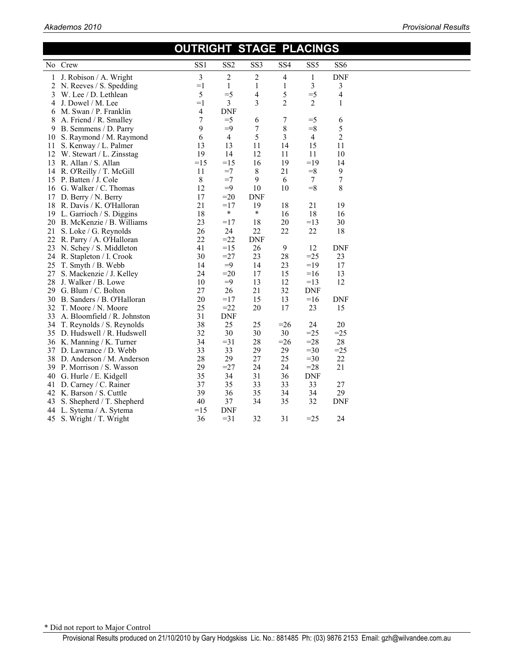#### **OUTRIGHT STAGE PLACINGS**  No Crew SS1 SS2 SS3 SS4 SS5 SS6 1 J. Robison / A. Wright 3 2 2 4 1 DNF 2 N. Reeves / S. Spedding  $=1$  1 1 1 3 3<br>3 W. Lee / D. Lethlean  $=5$   $=5$  4 5  $=5$  4 3 W. Lee / D. Lethlean  $\begin{array}{cccc} 5 & =5 & 4 & 5 & =5 \\ 4 & J. \text{ Dowel } / \text{M.} \text{ Lee} & =1 & 3 & 3 & 2 & 2 \end{array}$ 4 J. Dowel / M. Lee  $=1$  3 3 2 2 1 6 M. Swan / P. Franklin  $=$  4 DNF 6 M. Swan  $/$  P. Franklin 4<br>8 A. Friend  $/$  R. Smalley 7 8 A. Friend / R. Smalley 7 =5 6 7 =5 6<br>9 B. Semmens / D. Parry 9 =9 7 8 =8 5 9 B. Semmens / D. Parry 10 S. Raymond / M. Raymond 6 4 5 3 4 2 11 S. Kenway / L. Palmer 13 13 13 11 14 15 11<br>12 W. Stewart / L. Zinsstag 19 14 12 11 11 10 12 W. Stewart / L. Zinsstag 19 14 12 11 11 10 13 R. Allan / S. Allan =15 =15 16 19 =19 14 14 R. O'Reilly / T. McGill 11 =7 8 21 =8 9<br>15 P. Batten / J. Cole 8 =7 9 6 7 7 15 P. Batten *I* J. Cole 8 =7 9 6 7 7<br>16 G. Walker / C. Thomas 12 =9 10 10 =8 8 16 G. Walker / C. Thomas 17 D. Berry / N. Berry 17  $=20$  DNF 18 R. Davis / K. O'Halloran 21 = 17 19 18 21 19<br>19 L. Garrioch / S. Diggins 18 \* \* 16 18 16 19 L. Garrioch / S. Diggins 18 \* \* 16 18 16<br>
20 B. McKenzie / B. Williams 23 = 17 18 20 = 13 30 20 B. McKenzie / B. Williams 23 =17 18 20 =13 30 21 S. Loke / G. Reynolds<br>
22 R. Parry / A. O'Halloran<br>
22 = 22 DNF 22 R. Parry / A. O'Halloran 22 = 22 DNI<br>
23 N. Schey / S. Middleton 41 = 15 26 23 N. Schey / S. Middleton 41 = 15 26 9 12 DNF 24 R. Stapleton / I. Crook 30 = 27 23 28 = 25 23<br>25 T. Smyth / B. Webb 14 = 9 14 23 = 19 17 25 T. Smyth / B. Webb 14 = 9 14 23<br>27 S. Mackenzie / J. Kelley 24 = 20 17 15 27 S. Mackenzie / J. Kelley 24 = 20 17 15 = 16 13<br>
28 J. Walker / B. Lowe 10 = 9 13 12 = 13 12 28 J. Walker / B. Lowe 10 =9 13 12 =13<br>29 G. Blum / C. Bolton 27 26 21 32 DNF 29 G. Blum / C. Bolton 27 26 21 32 DNF<br>30 B. Sanders / B. O'Halloran 20 = 17 15 13 = 16 30 B. Sanders / B. O'Halloran 20 =  $17$  15 13 =  $16$  DNF 32 T. Moore / N. Moore 25 = 22 20 17 23 15 33 A. Bloomfield / R. Johnston 31 DNF 34 T. Reynolds / S. Reynolds<br>
35 D. Hudswell / R. Hudswell <br>
32 30 30 30 =25 =25 35 D. Hudswell / R. Hudswell  $\begin{array}{cccc} 35 & 30 & 30 & 30 & =25 & =25 \\ 36 & K. \text{ Manning / K. Turner} & 34 & =31 & 28 & =26 & =28 & 28 \end{array}$ 36 K. Manning / K. Turner <br>34 = 31 28 = 26 = 28 28<br>33 33 29 29 = 30 = 25 37 D. Lawrance / D. Webb 33 33 29 29 = 30 = 25<br>38 D. Anderson / M. Anderson 28 29 27 25 = 30 22 38 D. Anderson / M. Anderson 39 P. Morrison / S. Wasson 29 = 27 24 24 = 28 21<br>40 G. Hurle / E. Kidgell 35 34 31 36 DNF 40 G. Hurle / E. Kidgell 35 34 31 36 41 D. Carney / C. Rainer 37 35 33 33 33 27<br>42 K. Barson / S. Cuttle 39 36 35 34 34 29 42 K. Barson / S. Cuttle 39<br>43 S. Shepherd / T. Shepherd 40 43 S. Shepherd / T. Shepherd  $40$   $37$   $34$   $35$   $32$  DNF  $44$  L. Sytema / A. Sytema  $=15$  DNF 44 L. Sytema / A. Sytema 45 S. Wright / T. Wright 36 = 31 32 31 = 25 24

\* Did not report to Major Control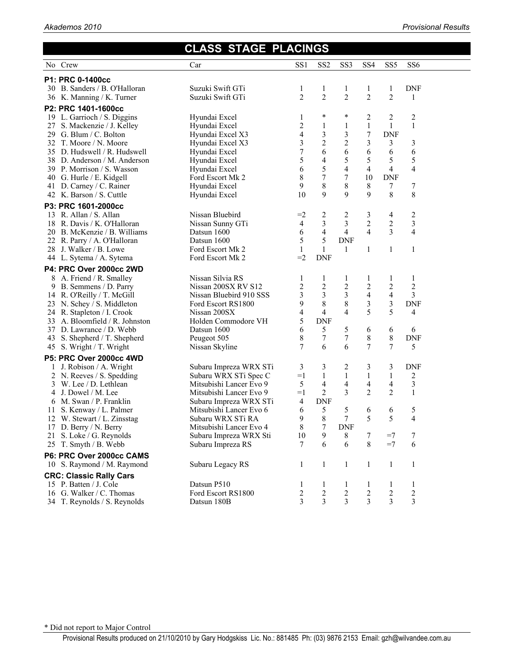|    |                                                           | <b>CLASS STAGE PLACINGS</b>                     |                     |                              |                   |                   |                   |                 |  |
|----|-----------------------------------------------------------|-------------------------------------------------|---------------------|------------------------------|-------------------|-------------------|-------------------|-----------------|--|
|    | No Crew                                                   | Car                                             | SS1                 | SS <sub>2</sub>              | SS <sub>3</sub>   | SS <sub>4</sub>   | SS <sub>5</sub>   | SS <sub>6</sub> |  |
|    | P1: PRC 0-1400cc                                          |                                                 |                     |                              |                   |                   |                   |                 |  |
|    | 30 B. Sanders / B. O'Halloran                             | Suzuki Swift GTi                                | 1                   | 1                            | 1                 | 1                 | $\mathbf{1}$      | <b>DNF</b>      |  |
|    | 36 K. Manning / K. Turner                                 | Suzuki Swift GTi                                | $\overline{2}$      | $\overline{c}$               | $\overline{c}$    | $\overline{c}$    | $\overline{2}$    | 1               |  |
|    | P2: PRC 1401-1600cc                                       |                                                 |                     |                              |                   |                   |                   |                 |  |
|    | 19 L. Garrioch / S. Diggins                               | Hyundai Excel                                   | 1                   | *                            | *                 | 2                 | 2                 | $\overline{c}$  |  |
|    | 27 S. Mackenzie / J. Kelley                               | Hyundai Excel                                   | 2                   | $\mathbf{1}$                 | 1                 | $\mathbf{1}$      | $\mathbf{1}$      | $\mathbf{1}$    |  |
|    | 29 G. Blum / C. Bolton                                    | Hyundai Excel X3                                | $\overline{4}$      | $\overline{\mathbf{3}}$      | $\mathfrak{Z}$    | 7                 | <b>DNF</b>        |                 |  |
|    | 32 T. Moore / N. Moore                                    | Hyundai Excel X3                                | 3                   | $\overline{c}$               | $\overline{c}$    | 3                 | 3                 | 3               |  |
|    | 35 D. Hudswell / R. Hudswell                              | Hyundai Excel                                   | $\boldsymbol{7}$    | 6                            | 6                 | 6                 | 6                 | 6               |  |
|    | 38 D. Anderson / M. Anderson                              | Hyundai Excel                                   | 5                   | $\overline{\mathbf{4}}$      | 5                 | 5                 | 5                 | 5               |  |
|    | 39 P. Morrison / S. Wasson                                | Hyundai Excel                                   | 6                   | 5                            | $\overline{4}$    | 4                 | $\overline{4}$    | 4               |  |
|    | 40 G. Hurle / E. Kidgell                                  | Ford Escort Mk 2                                | 8                   | $\overline{7}$               | 7                 | 10                | <b>DNF</b>        |                 |  |
|    | 41 D. Carney / C. Rainer                                  | Hyundai Excel                                   | 9                   | 8                            | 8                 | 8                 | 7                 | 7               |  |
|    | 42 K. Barson / S. Cuttle                                  | Hyundai Excel                                   | 10                  | 9                            | 9                 | 9                 | 8                 | 8               |  |
|    | P3: PRC 1601-2000cc                                       |                                                 |                     |                              |                   |                   |                   |                 |  |
|    | 13 R. Allan / S. Allan                                    | Nissan Bluebird                                 | $=2$                | 2                            | 2                 | 3                 | 4                 | $\overline{c}$  |  |
|    | 18 R. Davis / K. O'Halloran                               | Nissan Sunny GTi                                | $\overline{4}$      | $\overline{3}$               | 3                 | $\overline{c}$    | $\sqrt{2}$        | $\mathfrak{Z}$  |  |
|    | 20 B. McKenzie / B. Williams                              | Datsun 1600                                     | 6                   | $\overline{4}$               | $\overline{4}$    | $\overline{4}$    | $\overline{3}$    | 4               |  |
|    | 22 R. Parry / A. O'Halloran                               | Datsun 1600                                     | 5                   | 5                            | <b>DNF</b>        |                   |                   |                 |  |
|    | 28 J. Walker / B. Lowe                                    | Ford Escort Mk 2                                | $\mathbf{1}$        | $\mathbf{1}$                 | -1                | 1                 | 1                 | 1               |  |
|    | 44 L. Sytema / A. Sytema                                  | Ford Escort Mk 2                                | $=2$                | <b>DNF</b>                   |                   |                   |                   |                 |  |
|    | P4: PRC Over 2000cc 2WD                                   |                                                 |                     |                              |                   |                   |                   |                 |  |
|    | 8 A. Friend / R. Smalley                                  | Nissan Silvia RS                                | 1                   | 1                            | 1                 | 1                 | $\mathbf{1}$      | 1               |  |
| 9  | B. Semmens / D. Parry                                     | Nissan 200SX RV S12                             | $\overline{c}$      | $\overline{c}$               | $\overline{c}$    | $\overline{c}$    | $\overline{c}$    | $\overline{c}$  |  |
|    | 14 R. O'Reilly / T. McGill                                | Nissan Bluebird 910 SSS                         | 3                   | $\overline{\mathbf{3}}$      | $\overline{3}$    | $\overline{4}$    | $\overline{4}$    | 3               |  |
|    | 23 N. Schey / S. Middleton                                | Ford Escort RS1800                              | 9                   | $\,$ $\,$                    | 8                 | 3                 | $\overline{3}$    | <b>DNF</b>      |  |
|    | 24 R. Stapleton / I. Crook<br>A. Bloomfield / R. Johnston | Nissan 200SX<br>Holden Commodore VH             | $\overline{4}$<br>5 | $\overline{4}$<br><b>DNF</b> | $\overline{4}$    | 5                 | 5                 | 4               |  |
| 33 | 37 D. Lawrance / D. Webb                                  | Datsun 1600                                     | 6                   | 5                            | 5                 | 6                 | 6                 | 6               |  |
|    | 43 S. Shepherd / T. Shepherd                              | Peugeot 505                                     | 8                   | $\boldsymbol{7}$             | 7                 | 8                 | 8                 | <b>DNF</b>      |  |
|    | 45 S. Wright / T. Wright                                  | Nissan Skyline                                  | 7                   | 6                            | 6                 | 7                 | 7                 | 5               |  |
|    |                                                           |                                                 |                     |                              |                   |                   |                   |                 |  |
|    | P5: PRC Over 2000cc 4WD                                   |                                                 |                     |                              |                   |                   |                   | <b>DNF</b>      |  |
|    | J. Robison / A. Wright<br>2 N. Reeves / S. Spedding       | Subaru Impreza WRX STi<br>Subaru WRX STi Spec C | 3<br>$=1$           | 3<br>$\mathbf{1}$            | 2<br>$\mathbf{1}$ | 3<br>$\mathbf{1}$ | 3<br>$\mathbf{1}$ | 2               |  |
|    | 3 W. Lee / D. Lethlean                                    | Mitsubishi Lancer Evo 9                         | 5                   | $\overline{4}$               | 4                 | 4                 | $\overline{4}$    | $\mathfrak{Z}$  |  |
| 4  | J. Dowel / M. Lee                                         | Mitsubishi Lancer Evo 9                         | $=1$                | 2                            | 3                 | $\overline{2}$    | $\overline{2}$    | $\mathbf{1}$    |  |
|    | 6 M. Swan / P. Franklin                                   | Subaru Impreza WRX STi                          | 4                   | <b>DNF</b>                   |                   |                   |                   |                 |  |
|    | 11 S. Kenway / L. Palmer                                  | Mitsubishi Lancer Evo 6                         | 6                   | 5                            | 5                 | 6                 | 6                 | 5               |  |
|    | 12 W. Stewart / L. Zinsstag                               | Subaru WRX STi RA                               | 9                   | 8                            | 7                 | 5                 | 5                 | 4               |  |
|    | 17 D. Berry / N. Berry                                    | Mitsubishi Lancer Evo 4                         | 8                   | 7                            | DNF               |                   |                   |                 |  |
| 21 | S. Loke / G. Reynolds                                     | Subaru Impreza WRX Sti                          | 10                  | 9                            | 8                 | 7                 | $=7$              | 7               |  |
|    | 25 T. Smyth / B. Webb                                     | Subaru Impreza RS                               | 7                   | 6                            | 6                 | 8                 | $=7$              | 6               |  |
|    | P6: PRC Over 2000cc CAMS                                  |                                                 |                     |                              |                   |                   |                   |                 |  |
|    | 10 S. Raymond / M. Raymond                                | Subaru Legacy RS                                | 1                   | $\mathbf{1}$                 | $\mathbf{1}$      | $\mathbf{1}$      | $\mathbf{1}$      | 1               |  |
|    | <b>CRC: Classic Rally Cars</b>                            |                                                 |                     |                              |                   |                   |                   |                 |  |
|    | 15 P. Batten / J. Cole                                    | Datsun P510                                     | $\mathbf{I}$        | 1                            | 1                 | $\mathbf{I}$      | 1                 | 1               |  |
|    | 16 G. Walker / C. Thomas                                  | Ford Escort RS1800                              | 2                   | 2                            | $\overline{c}$    | 2                 | 2                 | 2               |  |
|    | 34 T. Reynolds / S. Reynolds                              | Datsun 180B                                     | 3                   | 3                            | 3                 | 3                 | 3                 | 3               |  |

### \* Did not report to Major Control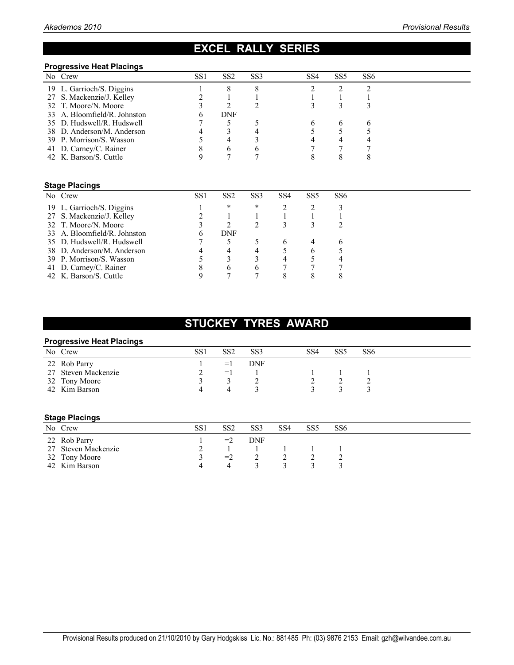## **EXCEL RALLY SERIES**

#### **Progressive Heat Placings**

| No Crew                      | SS <sub>1</sub> | SS <sub>2</sub> | SS <sub>3</sub> | SS <sub>6</sub><br>SS <sub>4</sub><br>SS <sub>5</sub> |
|------------------------------|-----------------|-----------------|-----------------|-------------------------------------------------------|
| 19 L. Garrioch/S. Diggins    |                 |                 |                 |                                                       |
| 27 S. Mackenzie/J. Kelley    |                 |                 |                 |                                                       |
| 32 T. Moore/N. Moore         |                 |                 |                 |                                                       |
| 33 A. Bloomfield/R. Johnston |                 | DNF             |                 |                                                       |
| 35 D. Hudswell/R. Hudswell   |                 |                 |                 |                                                       |
| 38 D. Anderson/M. Anderson   |                 |                 |                 |                                                       |
| 39 P. Morrison/S. Wasson     |                 | 4               |                 |                                                       |
| 41 D. Carney/C. Rainer       |                 | b               |                 |                                                       |
| 42 K. Barson/S. Cuttle       |                 |                 |                 |                                                       |

### **Stage Placings**

| No Crew                      | SS <sub>1</sub> | SS <sub>2</sub> | SS <sub>3</sub> | SS <sub>4</sub> | SS <sub>5</sub> | SS <sub>6</sub> |  |
|------------------------------|-----------------|-----------------|-----------------|-----------------|-----------------|-----------------|--|
| 19 L. Garrioch/S. Diggins    |                 | *               | *               |                 |                 |                 |  |
| 27 S. Mackenzie/J. Kelley    |                 |                 |                 |                 |                 |                 |  |
| 32 T. Moore/N. Moore         |                 |                 |                 |                 |                 |                 |  |
| 33 A. Bloomfield/R. Johnston |                 | DNF             |                 |                 |                 |                 |  |
| 35 D. Hudswell/R. Hudswell   |                 |                 |                 |                 |                 |                 |  |
| 38 D. Anderson/M. Anderson   |                 | 4               |                 |                 |                 |                 |  |
| 39 P. Morrison/S. Wasson     |                 |                 |                 |                 |                 |                 |  |
| 41 D. Carney/C. Rainer       |                 | <sub>6</sub>    | <sub>t</sub>    |                 |                 |                 |  |
| 42 K. Barson/S. Cuttle       |                 |                 |                 | 8               |                 | 8               |  |

## **STUCKEY TYRES AWARD**

#### **Progressive Heat Placings**

| No Crew             | SS1 | SS2                | SS <sub>3</sub> | SS4 | SS <sub>5</sub> | SS <sub>6</sub> |
|---------------------|-----|--------------------|-----------------|-----|-----------------|-----------------|
| 22 Rob Parry        |     | $=1$               | DNF             |     |                 |                 |
| 27 Steven Mackenzie |     | $=$ $\blacksquare$ |                 |     |                 |                 |
| 32 Tony Moore       |     |                    |                 |     |                 |                 |
| 42 Kim Barson       |     | 4                  |                 |     |                 |                 |
|                     |     |                    |                 |     |                 |                 |

#### **Stage Placings**

| No Crew             | SS1 | SS2  | SS <sub>3</sub> | SS4 | SS5 | SS6 |
|---------------------|-----|------|-----------------|-----|-----|-----|
| 22 Rob Parry        |     | $=2$ | DNF             |     |     |     |
| 27 Steven Mackenzie |     |      |                 |     |     |     |
| 32 Tony Moore       |     | $=2$ |                 |     |     |     |
| 42 Kim Barson       |     |      |                 |     |     |     |